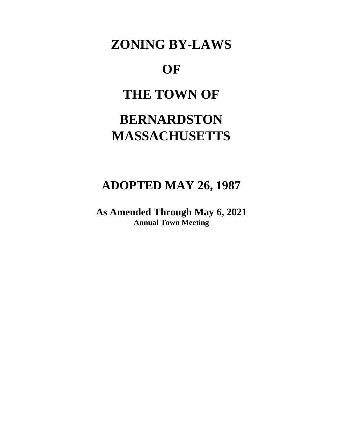## **ZONING BY-LAWS**

## **OF**

## **THE TOWN OF**

# **BERNARDSTON MASSACHUSETTS**

### **ADOPTED MAY 26, 1987**

**As Amended Through May 6, 2021 Annual Town Meeting**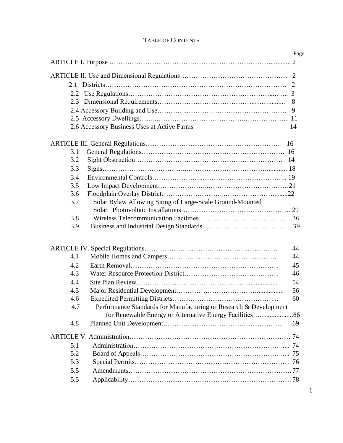|            | 2.6 Accessory Business Uses at Active Farms                       |
|------------|-------------------------------------------------------------------|
|            | 16                                                                |
| 3.1        |                                                                   |
| 3.2        |                                                                   |
| 3.3        |                                                                   |
| 3.4        |                                                                   |
| 3.5        |                                                                   |
| 3.6        |                                                                   |
| 3.7        | Solar Bylaw Allowing Siting of Large-Scale Ground-Mounted         |
|            |                                                                   |
| 3.8        |                                                                   |
|            |                                                                   |
| 3.9        |                                                                   |
|            |                                                                   |
|            |                                                                   |
| 4.1        |                                                                   |
| 4.2        |                                                                   |
| 4.3        |                                                                   |
| 4.4        |                                                                   |
| 4.5        |                                                                   |
| 4.6<br>4.7 | Performance Standards for Manufacturing or Research & Development |
|            |                                                                   |
| 4.8        |                                                                   |
|            |                                                                   |
| 5.1        |                                                                   |
| 5.2        |                                                                   |
| 5.3        |                                                                   |
| 5.5        |                                                                   |

#### TABLE OF CONTENTS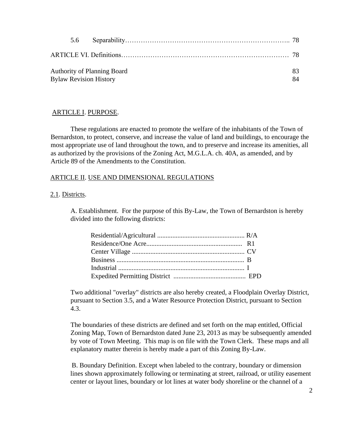|  | <b>Authority of Planning Board</b><br><b>Bylaw Revision History</b> | 83<br>84 |
|--|---------------------------------------------------------------------|----------|

#### ARTICLE I. PURPOSE.

These regulations are enacted to promote the welfare of the inhabitants of the Town of Bernardston, to protect, conserve, and increase the value of land and buildings, to encourage the most appropriate use of land throughout the town, and to preserve and increase its amenities, all as authorized by the provisions of the Zoning Act, M.G.L.A. ch. 40A, as amended, and by Article 89 of the Amendments to the Constitution.

#### ARTICLE II. USE AND DIMENSIONAL REGULATIONS

#### 2.1. Districts.

A. Establishment. For the purpose of this By-Law, the Town of Bernardston is hereby divided into the following districts:

Two additional "overlay" districts are also hereby created, a Floodplain Overlay District, pursuant to Section 3.5, and a Water Resource Protection District, pursuant to Section 4.3.

The boundaries of these districts are defined and set forth on the map entitled, Official Zoning Map, Town of Bernardston dated June 23, 2013 as may be subsequently amended by vote of Town Meeting. This map is on file with the Town Clerk. These maps and all explanatory matter therein is hereby made a part of this Zoning By-Law.

B. Boundary Definition. Except when labeled to the contrary, boundary or dimension lines shown approximately following or terminating at street, railroad, or utility easement center or layout lines, boundary or lot lines at water body shoreline or the channel of a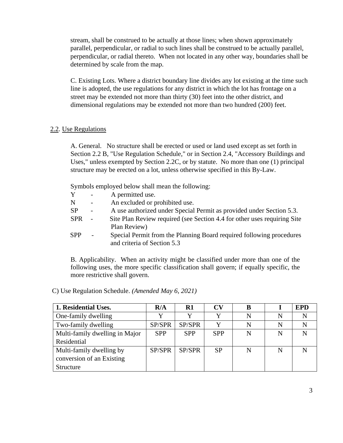stream, shall be construed to be actually at those lines; when shown approximately parallel, perpendicular, or radial to such lines shall be construed to be actually parallel, perpendicular, or radial thereto. When not located in any other way, boundaries shall be determined by scale from the map.

C. Existing Lots. Where a district boundary line divides any lot existing at the time such line is adopted, the use regulations for any district in which the lot has frontage on a street may be extended not more than thirty (30) feet into the other district, and dimensional regulations may be extended not more than two hundred (200) feet.

#### 2.2. Use Regulations

A. General. No structure shall be erected or used or land used except as set forth in Section 2.2 B, "Use Regulation Schedule," or in Section 2.4, "Accessory Buildings and Uses," unless exempted by Section 2.2C, or by statute. No more than one (1) principal structure may be erected on a lot, unless otherwise specified in this By-Law.

Symbols employed below shall mean the following:

- Y A permitted use.
- N An excluded or prohibited use.
- SP A use authorized under Special Permit as provided under Section 5.3.
- SPR Site Plan Review required (see Section 4.4 for other uses requiring Site Plan Review)
- SPP Special Permit from the Planning Board required following procedures and criteria of Section 5.3

B. Applicability. When an activity might be classified under more than one of the following uses, the more specific classification shall govern; if equally specific, the more restrictive shall govern.

| 1. Residential Uses.           | R/A        | R1         | $\bf{CV}$  | В |   | <b>EPD</b> |
|--------------------------------|------------|------------|------------|---|---|------------|
| One-family dwelling            |            |            |            | N | N |            |
| Two-family dwelling            | SP/SPR     | SP/SPR     |            | N | N |            |
| Multi-family dwelling in Major | <b>SPP</b> | <b>SPP</b> | <b>SPP</b> | N | N |            |
| Residential                    |            |            |            |   |   |            |
| Multi-family dwelling by       | SP/SPR     | SP/SPR     | <b>SP</b>  | N | N |            |
| conversion of an Existing      |            |            |            |   |   |            |
| Structure                      |            |            |            |   |   |            |

C) Use Regulation Schedule. *(Amended May 6, 2021)*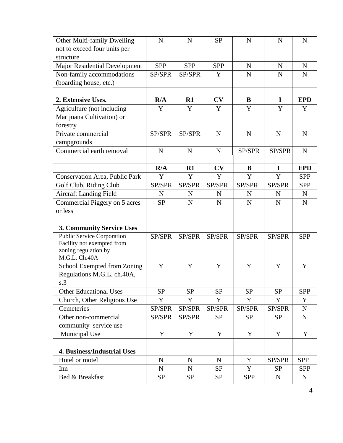| Other Multi-family Dwelling                        | N           | $\mathbf N$ | <b>SP</b>   | $\mathbf N$ | $\mathbf N$ | $\mathbf N$ |
|----------------------------------------------------|-------------|-------------|-------------|-------------|-------------|-------------|
| not to exceed four units per                       |             |             |             |             |             |             |
| structure                                          |             |             |             |             |             |             |
| <b>Major Residential Development</b>               | <b>SPP</b>  | <b>SPP</b>  | <b>SPP</b>  | $\mathbf N$ | $\mathbf N$ | $\mathbf N$ |
| Non-family accommodations                          | SP/SPR      | SP/SPR      | Y           | N           | $\mathbf N$ | $\mathbf N$ |
| (boarding house, etc.)                             |             |             |             |             |             |             |
|                                                    |             |             |             |             |             |             |
| 2. Extensive Uses.                                 | R/A         | R1          | CV          | B           | $\mathbf I$ | <b>EPD</b>  |
| Agriculture (not including                         | Y           | Y           | Y           | Y           | Y           | Y           |
| Marijuana Cultivation) or                          |             |             |             |             |             |             |
| forestry                                           |             |             |             |             |             |             |
| Private commercial                                 | SP/SPR      | SP/SPR      | N           | $\mathbf N$ | $\mathbf N$ | N           |
| campgrounds                                        |             |             |             |             |             |             |
| Commercial earth removal                           | $\mathbf N$ | N           | $\mathbf N$ | SP/SPR      | SP/SPR      | $\mathbf N$ |
|                                                    |             |             |             |             |             |             |
|                                                    | R/A         | R1          | CV          | B           | $\mathbf I$ | <b>EPD</b>  |
| Conservation Area, Public Park                     | Y           | Y           | Y           | Y           | Y           | <b>SPP</b>  |
| Golf Club, Riding Club                             | SP/SPR      | SP/SPR      | SP/SPR      | SP/SPR      | SP/SPR      | <b>SPP</b>  |
| <b>Aircraft Landing Field</b>                      | $\mathbf N$ | N           | N           | N           | N           | N           |
| Commercial Piggery on 5 acres                      | <b>SP</b>   | $\mathbf N$ | $\mathbf N$ | N           | $\mathbf N$ | $\mathbf N$ |
| or less                                            |             |             |             |             |             |             |
|                                                    |             |             |             |             |             |             |
| <b>3. Community Service Uses</b>                   |             |             |             |             |             |             |
| <b>Public Service Corporation</b>                  | SP/SPR      | SP/SPR      | SP/SPR      | SP/SPR      | SP/SPR      | <b>SPP</b>  |
| Facility not exempted from<br>zoning regulation by |             |             |             |             |             |             |
| M.G.L. Ch.40A                                      |             |             |             |             |             |             |
| School Exempted from Zoning                        | Y           | Y           | Y           | Y           | Y           | Y           |
| Regulations M.G.L. ch.40A,                         |             |             |             |             |             |             |
| s.3                                                |             |             |             |             |             |             |
| <b>Other Educational Uses</b>                      | <b>SP</b>   | <b>SP</b>   | <b>SP</b>   | <b>SP</b>   | <b>SP</b>   | <b>SPP</b>  |
| Church, Other Religious Use                        | Y           | Y           | Y           | Y           | Y           | Y           |
| Cemeteries                                         | SP/SPR      | SP/SPR      | SP/SPR      | SP/SPR      | SP/SPR      | ${\bf N}$   |
| Other non-commercial                               | SP/SPR      | SP/SPR      | <b>SP</b>   | <b>SP</b>   | <b>SP</b>   | ${\bf N}$   |
| community service use                              |             |             |             |             |             |             |
| Municipal Use                                      | Y           | Y           | Y           | $\mathbf Y$ | $\mathbf Y$ | Y           |
|                                                    |             |             |             |             |             |             |
| <b>4. Business/Industrial Uses</b>                 |             |             |             |             |             |             |
| Hotel or motel                                     | N           | $\mathbf N$ | N           | Y           | SP/SPR      | <b>SPP</b>  |
| Inn                                                | $\mathbf N$ | ${\bf N}$   | <b>SP</b>   | Y           | <b>SP</b>   | <b>SPP</b>  |
| Bed & Breakfast                                    | <b>SP</b>   | <b>SP</b>   | <b>SP</b>   | <b>SPP</b>  | ${\bf N}$   | ${\bf N}$   |
|                                                    |             |             |             |             |             |             |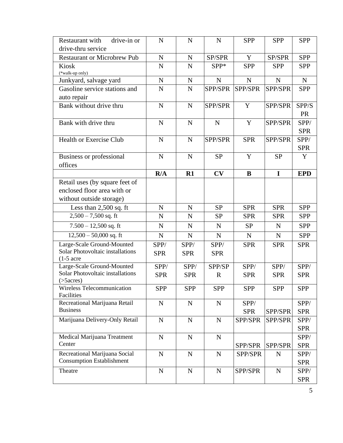| Restaurant with<br>drive-in or<br>drive-thru service                                      | $\mathbf N$        | $\mathbf N$        | $\mathbf N$           | <b>SPP</b>         | <b>SPP</b>         | <b>SPP</b>         |
|-------------------------------------------------------------------------------------------|--------------------|--------------------|-----------------------|--------------------|--------------------|--------------------|
| <b>Restaurant or Microbrew Pub</b>                                                        | N                  | $\mathbf N$        | SP/SPR                | Y                  | SP/SPR             | <b>SPP</b>         |
| Kiosk<br>(*walk-up only)                                                                  | N                  | $\mathbf N$        | SPP*                  | <b>SPP</b>         | <b>SPP</b>         | <b>SPP</b>         |
| Junkyard, salvage yard                                                                    | $\mathbf N$        | ${\bf N}$          | $\mathbf N$           | $\mathbf N$        | $\mathbf N$        | $\mathbf N$        |
| Gasoline service stations and<br>auto repair                                              | N                  | N                  | SPP/SPR               | SPP/SPR            | SPP/SPR            | <b>SPP</b>         |
| Bank without drive thru                                                                   | N                  | $\mathbf N$        | SPP/SPR               | Y                  | SPP/SPR            | SPP/S<br><b>PR</b> |
| Bank with drive thru                                                                      | N                  | $\mathbf N$        | $\mathbf N$           | Y                  | SPP/SPR            | SPP/<br><b>SPR</b> |
| <b>Health or Exercise Club</b>                                                            | N                  | $\mathbf N$        | SPP/SPR               | <b>SPR</b>         | SPP/SPR            | SPP/<br><b>SPR</b> |
| <b>Business or professional</b><br>offices                                                | $\mathbf N$        | $\mathbf N$        | <b>SP</b>             | Y                  | <b>SP</b>          | Y                  |
|                                                                                           | R/A                | R1                 | CV                    | $\bf{B}$           | $\mathbf I$        | <b>EPD</b>         |
| Retail uses (by square feet of<br>enclosed floor area with or<br>without outside storage) |                    |                    |                       |                    |                    |                    |
| Less than $2,500$ sq. ft                                                                  | N                  | ${\bf N}$          | <b>SP</b>             | <b>SPR</b>         | <b>SPR</b>         | <b>SPP</b>         |
| $2,500 - 7,500$ sq. ft                                                                    | $\mathbf N$        | $\mathbf N$        | <b>SP</b>             | <b>SPR</b>         | <b>SPR</b>         | <b>SPP</b>         |
| $7.500 - 12{,}500$ sq. ft                                                                 | $\mathbf N$        | $\mathbf N$        | N                     | <b>SP</b>          | $\mathbf N$        | <b>SPP</b>         |
| $12,500 - 50,000$ sq. ft                                                                  | N                  | $\mathbf N$        | $\mathbf N$           | $\mathbf N$        | $\mathbf N$        | <b>SPP</b>         |
| Large-Scale Ground-Mounted<br>Solar Photovoltaic installations<br>$(1-5)$ acre            | SPP/<br><b>SPR</b> | SPP/<br><b>SPR</b> | SPP/<br><b>SPR</b>    | <b>SPR</b>         | <b>SPR</b>         | <b>SPR</b>         |
| Large-Scale Ground-Mounted<br>Solar Photovoltaic installations<br>$($ >5 $acres)$         | SPP/<br><b>SPR</b> | SPP/<br><b>SPR</b> | SPP/SP<br>$\mathbf R$ | SPP/<br><b>SPR</b> | SPP/<br><b>SPR</b> | SPP/<br><b>SPR</b> |
| <b>Wireless Telecommunication</b><br>Facilities                                           | <b>SPP</b>         | <b>SPP</b>         | <b>SPP</b>            | <b>SPP</b>         | <b>SPP</b>         | <b>SPP</b>         |
| Recreational Marijuana Retail<br><b>Business</b>                                          | $\mathbf N$        | $\mathbf N$        | $\mathbf N$           | SPP/<br><b>SPR</b> | SPP/SPR            | SPP/<br><b>SPR</b> |
| Marijuana Delivery-Only Retail                                                            | ${\bf N}$          | ${\bf N}$          | $\mathbf N$           | SPP/SPR            | SPP/SPR            | SPP/<br><b>SPR</b> |
| Medical Marijuana Treatment<br>Center                                                     | $\mathbf N$        | $\mathbf N$        | $\mathbf N$           | SPP/SPR            | SPP/SPR            | SPP/<br><b>SPR</b> |
| Recreational Marijuana Social<br><b>Consumption Establishment</b>                         | $\mathbf N$        | $\mathbf N$        | $\mathbf N$           | SPP/SPR            | ${\bf N}$          | SPP/<br><b>SPR</b> |
| Theatre                                                                                   | ${\bf N}$          | ${\bf N}$          | $\mathbf N$           | SPP/SPR            | ${\bf N}$          | SPP/               |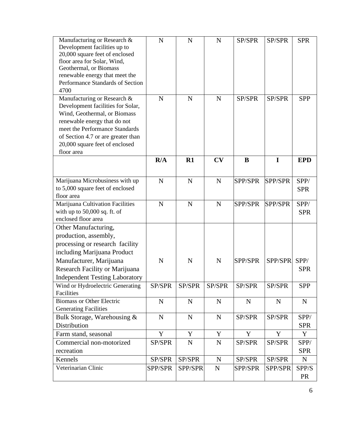| Manufacturing or Research &<br>Development facilities up to<br>20,000 square feet of enclosed<br>floor area for Solar, Wind,<br>Geothermal, or Biomass<br>renewable energy that meet the<br>Performance Standards of Section<br>4700                     | N           | $\mathbf N$ | N           | SP/SPR         | SP/SPR         | <b>SPR</b>         |
|----------------------------------------------------------------------------------------------------------------------------------------------------------------------------------------------------------------------------------------------------------|-------------|-------------|-------------|----------------|----------------|--------------------|
| Manufacturing or Research &<br>Development facilities for Solar,<br>Wind, Geothermal, or Biomass<br>renewable energy that do not<br>meet the Performance Standards<br>of Section 4.7 or are greater than<br>20,000 square feet of enclosed<br>floor area | N           | N           | N           | SP/SPR         | SP/SPR         | <b>SPP</b>         |
|                                                                                                                                                                                                                                                          | R/A         | R1          | CV          | $\bf{B}$       | $\mathbf I$    | <b>EPD</b>         |
| Marijuana Microbusiness with up<br>to 5,000 square feet of enclosed<br>floor area                                                                                                                                                                        | $\mathbf N$ | $\mathbf N$ | N           | <b>SPP/SPR</b> | SPP/SPR        | SPP/<br><b>SPR</b> |
| Marijuana Cultivation Facilities<br>with up to $50,000$ sq. ft. of<br>enclosed floor area                                                                                                                                                                | N           | $\mathbf N$ | N           | SPP/SPR        | <b>SPP/SPR</b> | SPP/<br><b>SPR</b> |
| Other Manufacturing,<br>production, assembly,<br>processing or research facility<br>including Marijuana Product<br>Manufacturer, Marijuana<br>Research Facility or Marijuana<br><b>Independent Testing Laboratory</b>                                    | N           | $\mathbf N$ | N           | <b>SPP/SPR</b> | SPP/SPR        | SPP/<br><b>SPR</b> |
| Wind or Hydroelectric Generating<br>Facilities                                                                                                                                                                                                           | SP/SPR      | SP/SPR      | SP/SPR      | SP/SPR         | SP/SPR         | <b>SPP</b>         |
| <b>Biomass or Other Electric</b><br><b>Generating Facilities</b>                                                                                                                                                                                         | $\mathbf N$ | $\mathbf N$ | N           | $\mathbf N$    | $\mathbf N$    | ${\bf N}$          |
| Bulk Storage, Warehousing &<br>Distribution                                                                                                                                                                                                              | $\mathbf N$ | $\mathbf N$ | ${\bf N}$   | SP/SPR         | SP/SPR         | SPP/<br><b>SPR</b> |
| Farm stand, seasonal                                                                                                                                                                                                                                     | Y           | Y           | Y           | Y              | Y              | Y                  |
| Commercial non-motorized<br>recreation                                                                                                                                                                                                                   | SP/SPR      | $\mathbf N$ | $\mathbf N$ | SP/SPR         | SP/SPR         | SPP/<br><b>SPR</b> |
| Kennels                                                                                                                                                                                                                                                  | SP/SPR      | SP/SPR      | $\mathbf N$ | SP/SPR         | SP/SPR         | $\mathbf N$        |
| Veterinarian Clinic                                                                                                                                                                                                                                      | SPP/SPR     | SPP/SPR     | ${\bf N}$   | SPP/SPR        | SPP/SPR        | SPP/S<br><b>PR</b> |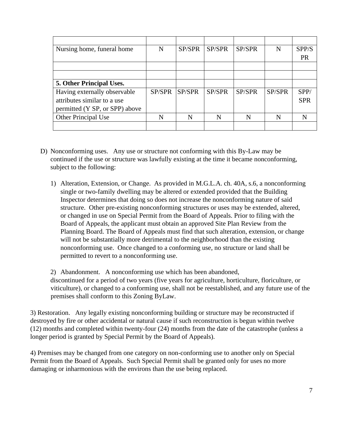| Nursing home, funeral home      | N      | SP/SPR        | SP/SPR | SP/SPR | N      | SPP/S      |
|---------------------------------|--------|---------------|--------|--------|--------|------------|
|                                 |        |               |        |        |        | <b>PR</b>  |
|                                 |        |               |        |        |        |            |
|                                 |        |               |        |        |        |            |
| <b>5. Other Principal Uses.</b> |        |               |        |        |        |            |
| Having externally observable    | SP/SPR | <b>SP/SPR</b> | SP/SPR | SP/SPR | SP/SPR | SPP/       |
| attributes similar to a use     |        |               |        |        |        | <b>SPR</b> |
| permitted (Y SP, or SPP) above  |        |               |        |        |        |            |
| Other Principal Use             | N      | N             | N      |        | N      |            |
|                                 |        |               |        |        |        |            |

- D) Nonconforming uses. Any use or structure not conforming with this By-Law may be continued if the use or structure was lawfully existing at the time it became nonconforming, subject to the following:
	- 1) Alteration, Extension, or Change. As provided in M.G.L.A. ch. 40A, s.6, a nonconforming single or two-family dwelling may be altered or extended provided that the Building Inspector determines that doing so does not increase the nonconforming nature of said structure. Other pre-existing nonconforming structures or uses may be extended, altered, or changed in use on Special Permit from the Board of Appeals. Prior to filing with the Board of Appeals, the applicant must obtain an approved Site Plan Review from the Planning Board. The Board of Appeals must find that such alteration, extension, or change will not be substantially more detrimental to the neighborhood than the existing nonconforming use. Once changed to a conforming use, no structure or land shall be permitted to revert to a nonconforming use.

2) Abandonment. A nonconforming use which has been abandoned, discontinued for a period of two years (five years for agriculture, horticulture, floriculture, or viticulture), or changed to a conforming use, shall not be reestablished, and any future use of the premises shall conform to this Zoning ByLaw.

3) Restoration. Any legally existing nonconforming building or structure may be reconstructed if destroyed by fire or other accidental or natural cause if such reconstruction is begun within twelve (12) months and completed within twenty-four (24) months from the date of the catastrophe (unless a longer period is granted by Special Permit by the Board of Appeals).

4) Premises may be changed from one category on non-conforming use to another only on Special Permit from the Board of Appeals. Such Special Permit shall be granted only for uses no more damaging or inharmonious with the environs than the use being replaced.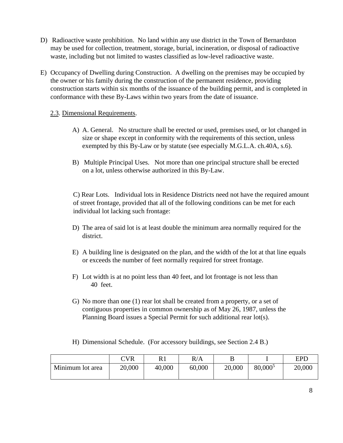- D) Radioactive waste prohibition. No land within any use district in the Town of Bernardston may be used for collection, treatment, storage, burial, incineration, or disposal of radioactive waste, including but not limited to wastes classified as low-level radioactive waste.
- E) Occupancy of Dwelling during Construction. A dwelling on the premises may be occupied by the owner or his family during the construction of the permanent residence, providing construction starts within six months of the issuance of the building permit, and is completed in conformance with these By-Laws within two years from the date of issuance.

#### 2.3. Dimensional Requirements.

- A) A. General. No structure shall be erected or used, premises used, or lot changed in size or shape except in conformity with the requirements of this section, unless exempted by this By-Law or by statute (see especially M.G.L.A. ch.40A, s.6).
- B) Multiple Principal Uses. Not more than one principal structure shall be erected on a lot, unless otherwise authorized in this By-Law.

C) Rear Lots. Individual lots in Residence Districts need not have the required amount of street frontage, provided that all of the following conditions can be met for each individual lot lacking such frontage:

- D) The area of said lot is at least double the minimum area normally required for the district.
- E) A building line is designated on the plan, and the width of the lot at that line equals or exceeds the number of feet normally required for street frontage.
- F) Lot width is at no point less than 40 feet, and lot frontage is not less than 40 feet.
- G) No more than one (1) rear lot shall be created from a property, or a set of contiguous properties in common ownership as of May 26, 1987, unless the Planning Board issues a Special Permit for such additional rear lot(s).
- H) Dimensional Schedule. (For accessory buildings, see Section 2.4 B.)

|                  | <b>CVR</b> | D 1    | R/A    |        |                     | EPD    |
|------------------|------------|--------|--------|--------|---------------------|--------|
| Minimum lot area | 20,000     | 40,000 | 60,000 | 20,000 | 80,000 <sup>5</sup> | 20,000 |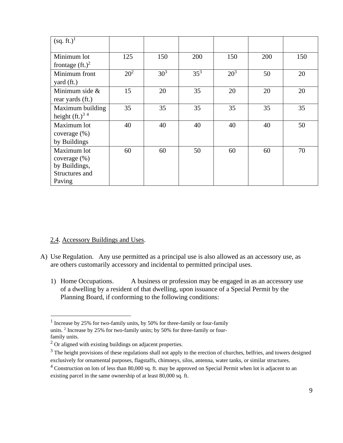| (sq. ft.) <sup>1</sup>       |                 |                 |        |                 |     |     |
|------------------------------|-----------------|-----------------|--------|-----------------|-----|-----|
| Minimum lot                  | 125             | 150             | 200    | 150             | 200 | 150 |
| frontage $(\text{ft.})^2$    |                 |                 |        |                 |     |     |
| Minimum front                | 20 <sup>2</sup> | 30 <sup>3</sup> | $35^3$ | 20 <sup>3</sup> | 50  | 20  |
| yard (ft.)                   |                 |                 |        |                 |     |     |
| Minimum side $\&$            | 15              | 20              | 35     | 20              | 20  | 20  |
| rear yards (ft.)             |                 |                 |        |                 |     |     |
| Maximum building             | 35              | 35              | 35     | 35              | 35  | 35  |
| height $(ft.)$ <sup>34</sup> |                 |                 |        |                 |     |     |
| Maximum lot                  | 40              | 40              | 40     | 40              | 40  | 50  |
| coverage $(\%)$              |                 |                 |        |                 |     |     |
| by Buildings                 |                 |                 |        |                 |     |     |
| Maximum lot                  | 60              | 60              | 50     | 60              | 60  | 70  |
| coverage (%)                 |                 |                 |        |                 |     |     |
| by Buildings,                |                 |                 |        |                 |     |     |
| Structures and               |                 |                 |        |                 |     |     |
| Paving                       |                 |                 |        |                 |     |     |

#### 2.4. Accessory Buildings and Uses.

- A) Use Regulation. Any use permitted as a principal use is also allowed as an accessory use, as are others customarily accessory and incidental to permitted principal uses.
	- 1) Home Occupations. A business or profession may be engaged in as an accessory use of a dwelling by a resident of that dwelling, upon issuance of a Special Permit by the Planning Board, if conforming to the following conditions:

<sup>&</sup>lt;sup>1</sup> Increase by 25% for two-family units, by 50% for three-family or four-family units. <sup>2</sup> Increase by 25% for two-family units; by 50% for three-family or fourfamily units.

<sup>&</sup>lt;sup>2</sup> Or aligned with existing buildings on adjacent properties.

 $3$  The height provisions of these regulations shall not apply to the erection of churches, belfries, and towers designed exclusively for ornamental purposes, flagstaffs, chimneys, silos, antenna, water tanks, or similar structures.

 $4$  Construction on lots of less than 80,000 sq. ft. may be approved on Special Permit when lot is adjacent to an existing parcel in the same ownership of at least 80,000 sq. ft.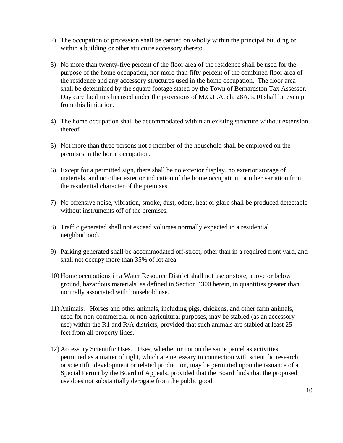- 2) The occupation or profession shall be carried on wholly within the principal building or within a building or other structure accessory thereto.
- 3) No more than twenty-five percent of the floor area of the residence shall be used for the purpose of the home occupation, nor more than fifty percent of the combined floor area of the residence and any accessory structures used in the home occupation. The floor area shall be determined by the square footage stated by the Town of Bernardston Tax Assessor. Day care facilities licensed under the provisions of M.G.L.A. ch. 28A, s.10 shall be exempt from this limitation.
- 4) The home occupation shall be accommodated within an existing structure without extension thereof.
- 5) Not more than three persons not a member of the household shall be employed on the premises in the home occupation.
- 6) Except for a permitted sign, there shall be no exterior display, no exterior storage of materials, and no other exterior indication of the home occupation, or other variation from the residential character of the premises.
- 7) No offensive noise, vibration, smoke, dust, odors, heat or glare shall be produced detectable without instruments off of the premises.
- 8) Traffic generated shall not exceed volumes normally expected in a residential neighborhood.
- 9) Parking generated shall be accommodated off-street, other than in a required front yard, and shall not occupy more than 35% of lot area.
- 10) Home occupations in a Water Resource District shall not use or store, above or below ground, hazardous materials, as defined in Section 4300 herein, in quantities greater than normally associated with household use.
- 11) Animals. Horses and other animals, including pigs, chickens, and other farm animals, used for non-commercial or non-agricultural purposes, may be stabled (as an accessory use) within the R1 and R/A districts, provided that such animals are stabled at least 25 feet from all property lines.
- 12) Accessory Scientific Uses. Uses, whether or not on the same parcel as activities permitted as a matter of right, which are necessary in connection with scientific research or scientific development or related production, may be permitted upon the issuance of a Special Permit by the Board of Appeals, provided that the Board finds that the proposed use does not substantially derogate from the public good.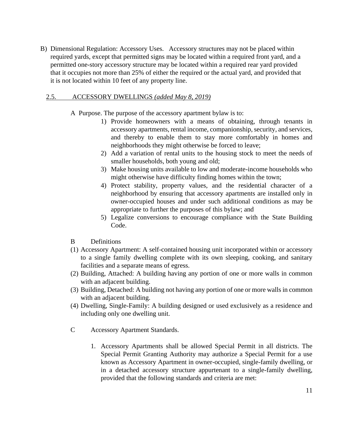B) Dimensional Regulation: Accessory Uses. Accessory structures may not be placed within required yards, except that permitted signs may be located within a required front yard, and a permitted one-story accessory structure may be located within a required rear yard provided that it occupies not more than 25% of either the required or the actual yard, and provided that it is not located within 10 feet of any property line.

#### 2.5. ACCESSORY DWELLINGS *(added May 8, 2019)*

- A Purpose. The purpose of the accessory apartment bylaw is to:
	- 1) Provide homeowners with a means of obtaining, through tenants in accessory apartments, rental income, companionship, security, and services, and thereby to enable them to stay more comfortably in homes and neighborhoods they might otherwise be forced to leave;
	- 2) Add a variation of rental units to the housing stock to meet the needs of smaller households, both young and old;
	- 3) Make housing units available to low and moderate-income households who might otherwise have difficulty finding homes within the town;
	- 4) Protect stability, property values, and the residential character of a neighborhood by ensuring that accessory apartments are installed only in owner-occupied houses and under such additional conditions as may be appropriate to further the purposes of this bylaw; and
	- 5) Legalize conversions to encourage compliance with the State Building Code.
- B Definitions
- (1) Accessory Apartment: A self-contained housing unit incorporated within or accessory to a single family dwelling complete with its own sleeping, cooking, and sanitary facilities and a separate means of egress.
- (2) Building, Attached: A building having any portion of one or more walls in common with an adjacent building.
- (3) Building, Detached: A building not having any portion of one or more walls in common with an adjacent building.
- (4) Dwelling, Single-Family: A building designed or used exclusively as a residence and including only one dwelling unit.
- C Accessory Apartment Standards.
	- 1. Accessory Apartments shall be allowed Special Permit in all districts. The Special Permit Granting Authority may authorize a Special Permit for a use known as Accessory Apartment in owner-occupied, single-family dwelling, or in a detached accessory structure appurtenant to a single-family dwelling, provided that the following standards and criteria are met: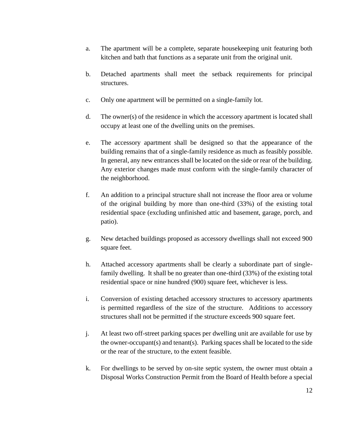- a. The apartment will be a complete, separate housekeeping unit featuring both kitchen and bath that functions as a separate unit from the original unit.
- b. Detached apartments shall meet the setback requirements for principal structures.
- c. Only one apartment will be permitted on a single-family lot.
- d. The owner(s) of the residence in which the accessory apartment is located shall occupy at least one of the dwelling units on the premises.
- e. The accessory apartment shall be designed so that the appearance of the building remains that of a single-family residence as much as feasibly possible. In general, any new entrances shall be located on the side or rear of the building. Any exterior changes made must conform with the single-family character of the neighborhood.
- f. An addition to a principal structure shall not increase the floor area or volume of the original building by more than one-third (33%) of the existing total residential space (excluding unfinished attic and basement, garage, porch, and patio).
- g. New detached buildings proposed as accessory dwellings shall not exceed 900 square feet.
- h. Attached accessory apartments shall be clearly a subordinate part of singlefamily dwelling. It shall be no greater than one-third (33%) of the existing total residential space or nine hundred (900) square feet, whichever is less.
- i. Conversion of existing detached accessory structures to accessory apartments is permitted regardless of the size of the structure. Additions to accessory structures shall not be permitted if the structure exceeds 900 square feet.
- j. At least two off-street parking spaces per dwelling unit are available for use by the owner-occupant(s) and tenant(s). Parking spaces shall be located to the side or the rear of the structure, to the extent feasible.
- k. For dwellings to be served by on-site septic system, the owner must obtain a Disposal Works Construction Permit from the Board of Health before a special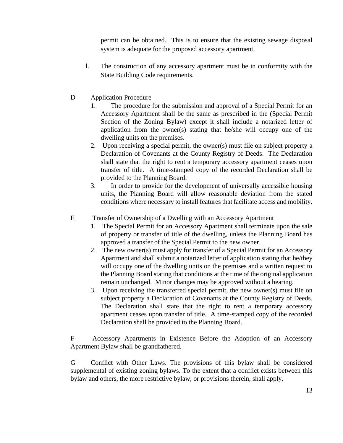permit can be obtained. This is to ensure that the existing sewage disposal system is adequate for the proposed accessory apartment.

- l. The construction of any accessory apartment must be in conformity with the State Building Code requirements.
- D Application Procedure
	- 1. The procedure for the submission and approval of a Special Permit for an Accessory Apartment shall be the same as prescribed in the (Special Permit Section of the Zoning Bylaw) except it shall include a notarized letter of application from the owner(s) stating that he/she will occupy one of the dwelling units on the premises.
	- 2. Upon receiving a special permit, the owner(s) must file on subject property a Declaration of Covenants at the County Registry of Deeds. The Declaration shall state that the right to rent a temporary accessory apartment ceases upon transfer of title. A time-stamped copy of the recorded Declaration shall be provided to the Planning Board.
	- 3. In order to provide for the development of universally accessible housing units, the Planning Board will allow reasonable deviation from the stated conditions where necessary to install features that facilitate access and mobility.
- E Transfer of Ownership of a Dwelling with an Accessory Apartment
	- 1. The Special Permit for an Accessory Apartment shall terminate upon the sale of property or transfer of title of the dwelling, unless the Planning Board has approved a transfer of the Special Permit to the new owner.
	- 2. The new owner(s) must apply for transfer of a Special Permit for an Accessory Apartment and shall submit a notarized letter of application stating that he/they will occupy one of the dwelling units on the premises and a written request to the Planning Board stating that conditions at the time of the original application remain unchanged. Minor changes may be approved without a hearing.
	- 3. Upon receiving the transferred special permit, the new owner(s) must file on subject property a Declaration of Covenants at the County Registry of Deeds. The Declaration shall state that the right to rent a temporary accessory apartment ceases upon transfer of title. A time-stamped copy of the recorded Declaration shall be provided to the Planning Board.

F Accessory Apartments in Existence Before the Adoption of an Accessory Apartment Bylaw shall be grandfathered.

G Conflict with Other Laws. The provisions of this bylaw shall be considered supplemental of existing zoning bylaws. To the extent that a conflict exists between this bylaw and others, the more restrictive bylaw, or provisions therein, shall apply.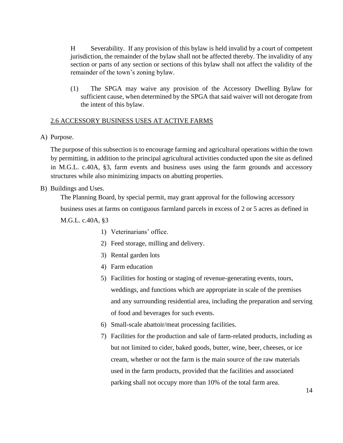H Severability. If any provision of this bylaw is held invalid by a court of competent jurisdiction, the remainder of the bylaw shall not be affected thereby. The invalidity of any section or parts of any section or sections of this bylaw shall not affect the validity of the remainder of the town's zoning bylaw.

(1) The SPGA may waive any provision of the Accessory Dwelling Bylaw for sufficient cause, when determined by the SPGA that said waiver will not derogate from the intent of this bylaw.

#### 2.6 ACCESSORY BUSINESS USES AT ACTIVE FARMS

A) Purpose.

The purpose of this subsection is to encourage farming and agricultural operations within the town by permitting, in addition to the principal agricultural activities conducted upon the site as defined in M.G.L. c.40A, §3, farm events and business uses using the farm grounds and accessory structures while also minimizing impacts on abutting properties.

#### B) Buildings and Uses.

The Planning Board, by special permit, may grant approval for the following accessory

business uses at farms on contiguous farmland parcels in excess of 2 or 5 acres as defined in

M.G.L. c.40A, §3

- 1) Veterinarians' office.
- 2) Feed storage, milling and delivery.
- 3) Rental garden lots
- 4) Farm education
- 5) Facilities for hosting or staging of revenue-generating events, tours, weddings, and functions which are appropriate in scale of the premises and any surrounding residential area, including the preparation and serving of food and beverages for such events.
- 6) Small-scale abattoir/meat processing facilities.
- 7) Facilities for the production and sale of farm-related products, including as but not limited to cider, baked goods, butter, wine, beer, cheeses, or ice cream, whether or not the farm is the main source of the raw materials used in the farm products, provided that the facilities and associated parking shall not occupy more than 10% of the total farm area.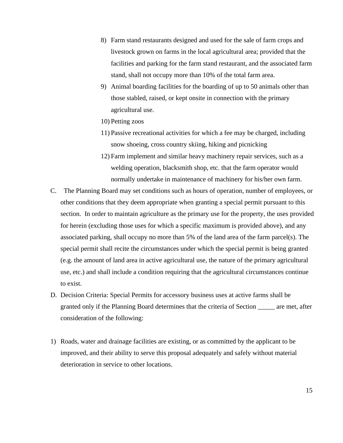- 8) Farm stand restaurants designed and used for the sale of farm crops and livestock grown on farms in the local agricultural area; provided that the facilities and parking for the farm stand restaurant, and the associated farm stand, shall not occupy more than 10% of the total farm area.
- 9) Animal boarding facilities for the boarding of up to 50 animals other than those stabled, raised, or kept onsite in connection with the primary agricultural use.
- 10) Petting zoos
- 11) Passive recreational activities for which a fee may be charged, including snow shoeing, cross country skiing, hiking and picnicking
- 12) Farm implement and similar heavy machinery repair services, such as a welding operation, blacksmith shop, etc. that the farm operator would normally undertake in maintenance of machinery for his/her own farm.
- C. The Planning Board may set conditions such as hours of operation, number of employees, or other conditions that they deem appropriate when granting a special permit pursuant to this section. In order to maintain agriculture as the primary use for the property, the uses provided for herein (excluding those uses for which a specific maximum is provided above), and any associated parking, shall occupy no more than 5% of the land area of the farm parcel(s). The special permit shall recite the circumstances under which the special permit is being granted (e.g. the amount of land area in active agricultural use, the nature of the primary agricultural use, etc.) and shall include a condition requiring that the agricultural circumstances continue to exist.
- D. Decision Criteria: Special Permits for accessory business uses at active farms shall be granted only if the Planning Board determines that the criteria of Section \_\_\_\_\_ are met, after consideration of the following:
- 1) Roads, water and drainage facilities are existing, or as committed by the applicant to be improved, and their ability to serve this proposal adequately and safely without material deterioration in service to other locations.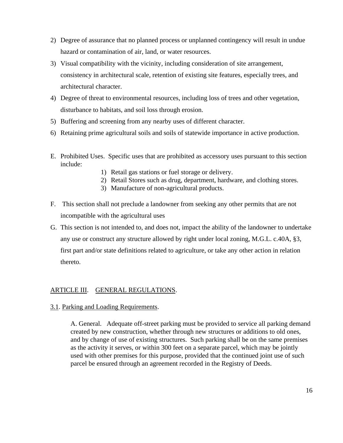- 2) Degree of assurance that no planned process or unplanned contingency will result in undue hazard or contamination of air, land, or water resources.
- 3) Visual compatibility with the vicinity, including consideration of site arrangement, consistency in architectural scale, retention of existing site features, especially trees, and architectural character.
- 4) Degree of threat to environmental resources, including loss of trees and other vegetation, disturbance to habitats, and soil loss through erosion.
- 5) Buffering and screening from any nearby uses of different character.
- 6) Retaining prime agricultural soils and soils of statewide importance in active production.
- E. Prohibited Uses. Specific uses that are prohibited as accessory uses pursuant to this section include:
	- 1) Retail gas stations or fuel storage or delivery.
	- 2) Retail Stores such as drug, department, hardware, and clothing stores.
	- 3) Manufacture of non-agricultural products.
- F. This section shall not preclude a landowner from seeking any other permits that are not incompatible with the agricultural uses
- G. This section is not intended to, and does not, impact the ability of the landowner to undertake any use or construct any structure allowed by right under local zoning, M.G.L. c.40A, §3, first part and/or state definitions related to agriculture, or take any other action in relation thereto.

#### ARTICLE III. GENERAL REGULATIONS.

3.1. Parking and Loading Requirements.

A. General. Adequate off-street parking must be provided to service all parking demand created by new construction, whether through new structures or additions to old ones, and by change of use of existing structures. Such parking shall be on the same premises as the activity it serves, or within 300 feet on a separate parcel, which may be jointly used with other premises for this purpose, provided that the continued joint use of such parcel be ensured through an agreement recorded in the Registry of Deeds.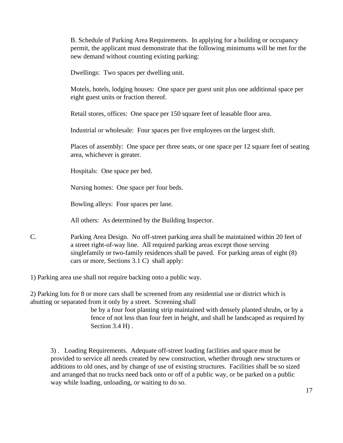B. Schedule of Parking Area Requirements. In applying for a building or occupancy permit, the applicant must demonstrate that the following minimums will be met for the new demand without counting existing parking:

Dwellings: Two spaces per dwelling unit.

Motels, hotels, lodging houses: One space per guest unit plus one additional space per eight guest units or fraction thereof.

Retail stores, offices: One space per 150 square feet of leasable floor area.

Industrial or wholesale: Four spaces per five employees on the largest shift.

Places of assembly: One space per three seats, or one space per 12 square feet of seating area, whichever is greater.

Hospitals: One space per bed.

Nursing homes: One space per four beds.

Bowling alleys: Four spaces per lane.

All others: As determined by the Building Inspector.

C. Parking Area Design. No off-street parking area shall be maintained within 20 feet of a street right-of-way line. All required parking areas except those serving singlefamily or two-family residences shall be paved. For parking areas of eight (8) cars or more, Sections 3.1 C) shall apply:

1) Parking area use shall not require backing onto a public way.

2) Parking lots for 8 or more cars shall be screened from any residential use or district which is abutting or separated from it only by a street. Screening shall

> be by a four foot planting strip maintained with densely planted shrubs, or by a fence of not less than four feet in height, and shall be landscaped as required by Section 3.4 H).

3) . Loading Requirements. Adequate off-street loading facilities and space must be provided to service all needs created by new construction, whether through new structures or additions to old ones, and by change of use of existing structures. Facilities shall be so sized and arranged that no trucks need back onto or off of a public way, or be parked on a public way while loading, unloading, or waiting to do so.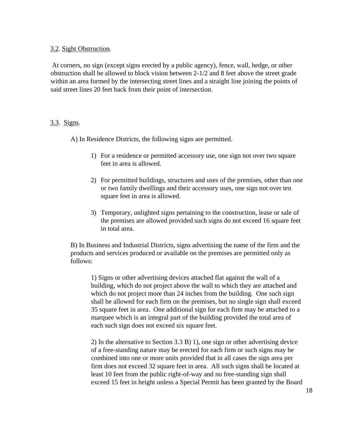#### 3.2. Sight Obstruction.

At corners, no sign (except signs erected by a public agency), fence, wall, hedge, or other obstruction shall be allowed to block vision between 2-1/2 and 8 feet above the street grade within an area formed by the intersecting street lines and a straight line joining the points of said street lines 20 feet back from their point of intersection.

#### 3.3. Signs.

A) In Residence Districts, the following signs are permitted.

- 1) For a residence or permitted accessory use, one sign not over two square feet in area is allowed.
- 2) For permitted buildings, structures and uses of the premises, other than one or two family dwellings and their accessory uses, one sign not over ten square feet in area is allowed.
- 3) Temporary, unlighted signs pertaining to the construction, lease or sale of the premises are allowed provided such signs do not exceed 16 square feet in total area.

B) In Business and Industrial Districts, signs advertising the name of the firm and the products and services produced or available on the premises are permitted only as follows:

1) Signs or other advertising devices attached flat against the wall of a building, which do not project above the wall to which they are attached and which do not project more than 24 inches from the building. One such sign shall be allowed for each firm on the premises, but no single sign shall exceed 35 square feet in area. One additional sign for each firm may be attached to a marquee which is an integral part of the building provided the total area of each such sign does not exceed six square feet.

2) In the alternative to Section 3.3 B) 1), one sign or other advertising device of a free-standing nature may be erected for each firm or such signs may be combined into one or more units provided that in all cases the sign area per firm does not exceed 32 square feet in area. All such signs shall be located at least 10 feet from the public right-of-way and no free-standing sign shall exceed 15 feet in height unless a Special Permit has been granted by the Board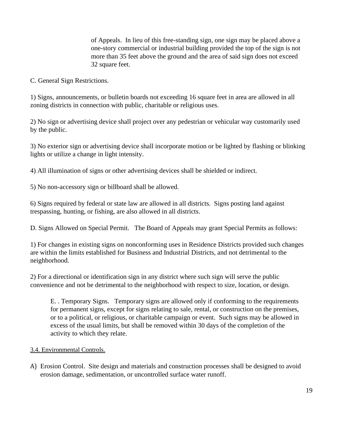of Appeals. In lieu of this free-standing sign, one sign may be placed above a one-story commercial or industrial building provided the top of the sign is not more than 35 feet above the ground and the area of said sign does not exceed 32 square feet.

C. General Sign Restrictions.

1) Signs, announcements, or bulletin boards not exceeding 16 square feet in area are allowed in all zoning districts in connection with public, charitable or religious uses.

2) No sign or advertising device shall project over any pedestrian or vehicular way customarily used by the public.

3) No exterior sign or advertising device shall incorporate motion or be lighted by flashing or blinking lights or utilize a change in light intensity.

4) All illumination of signs or other advertising devices shall be shielded or indirect.

5) No non-accessory sign or billboard shall be allowed.

6) Signs required by federal or state law are allowed in all districts. Signs posting land against trespassing, hunting, or fishing, are also allowed in all districts.

D. Signs Allowed on Special Permit. The Board of Appeals may grant Special Permits as follows:

1) For changes in existing signs on nonconforming uses in Residence Districts provided such changes are within the limits established for Business and Industrial Districts, and not detrimental to the neighborhood.

2) For a directional or identification sign in any district where such sign will serve the public convenience and not be detrimental to the neighborhood with respect to size, location, or design.

E. . Temporary Signs. Temporary signs are allowed only if conforming to the requirements for permanent signs, except for signs relating to sale, rental, or construction on the premises, or to a political, or religious, or charitable campaign or event. Such signs may be allowed in excess of the usual limits, but shall be removed within 30 days of the completion of the activity to which they relate.

#### 3.4. Environmental Controls.

A) Erosion Control. Site design and materials and construction processes shall be designed to avoid erosion damage, sedimentation, or uncontrolled surface water runoff.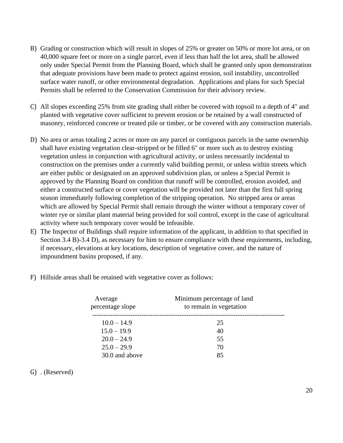- B) Grading or construction which will result in slopes of 25% or greater on 50% or more lot area, or on 40,000 square feet or more on a single parcel, even if less than half the lot area, shall be allowed only under Special Permit from the Planning Board, which shall be granted only upon demonstration that adequate provisions have been made to protect against erosion, soil instability, uncontrolled surface water runoff, or other environmental degradation. Applications and plans for such Special Permits shall be referred to the Conservation Commission for their advisory review.
- C) All slopes exceeding 25% from site grading shall either be covered with topsoil to a depth of 4" and planted with vegetative cover sufficient to prevent erosion or be retained by a wall constructed of masonry, reinforced concrete or treated pile or timber, or be covered with any construction materials.
- D) No area or areas totaling 2 acres or more on any parcel or contiguous parcels in the same ownership shall have existing vegetation clear-stripped or be filled 6" or more such as to destroy existing vegetation unless in conjunction with agricultural activity, or unless necessarily incidental to construction on the premises under a currently valid building permit, or unless within streets which are either public or designated on an approved subdivision plan, or unless a Special Permit is approved by the Planning Board on condition that runoff will be controlled, erosion avoided, and either a constructed surface or cover vegetation will be provided not later than the first full spring season immediately following completion of the stripping operation. No stripped area or areas which are allowed by Special Permit shall remain through the winter without a temporary cover of winter rye or similar plant material being provided for soil control, except in the case of agricultural activity where such temporary cover would be infeasible.
- E) The Inspector of Buildings shall require information of the applicant, in addition to that specified in Section 3.4 B)-3.4 D), as necessary for him to ensure compliance with these requirements, including, if necessary, elevations at key locations, description of vegetative cover, and the nature of impoundment basins proposed, if any.
- F) Hillside areas shall be retained with vegetative cover as follows:

| Average<br>percentage slope | Minimum percentage of land<br>to remain in vegetation |  |
|-----------------------------|-------------------------------------------------------|--|
| $10.0 - 14.9$               | 25                                                    |  |
| $15.0 - 19.9$               | 40                                                    |  |
| $20.0 - 24.9$               | 55                                                    |  |
| $25.0 - 29.9$               | 70                                                    |  |
| 30.0 and above              | 85                                                    |  |

#### G) . (Reserved)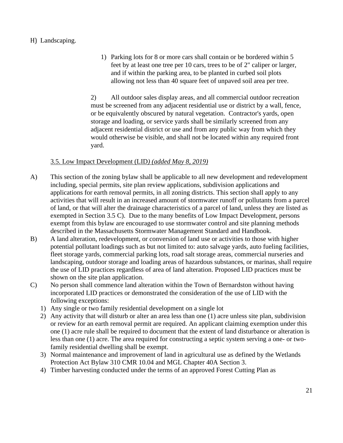#### H) Landscaping.

1) Parking lots for 8 or more cars shall contain or be bordered within 5 feet by at least one tree per 10 cars, trees to be of 2" caliper or larger, and if within the parking area, to be planted in curbed soil plots allowing not less than 40 square feet of unpaved soil area per tree.

2) All outdoor sales display areas, and all commercial outdoor recreation must be screened from any adjacent residential use or district by a wall, fence, or be equivalently obscured by natural vegetation. Contractor's yards, open storage and loading, or service yards shall be similarly screened from any adjacent residential district or use and from any public way from which they would otherwise be visible, and shall not be located within any required front yard.

#### 3.5. Low Impact Development (LID*) (added May 8, 2019)*

- A) This section of the zoning bylaw shall be applicable to all new development and redevelopment including, special permits, site plan review applications, subdivision applications and applications for earth removal permits, in all zoning districts. This section shall apply to any activities that will result in an increased amount of stormwater runoff or pollutants from a parcel of land, or that will alter the drainage characteristics of a parcel of land, unless they are listed as exempted in Section 3.5 C). Due to the many benefits of Low Impact Development, persons exempt from this bylaw are encouraged to use stormwater control and site planning methods described in the Massachusetts Stormwater Management Standard and Handbook.
- B) A land alteration, redevelopment, or conversion of land use or activities to those with higher potential pollutant loadings such as but not limited to: auto salvage yards, auto fueling facilities, fleet storage yards, commercial parking lots, road salt storage areas, commercial nurseries and landscaping, outdoor storage and loading areas of hazardous substances, or marinas, shall require the use of LID practices regardless of area of land alteration. Proposed LID practices must be shown on the site plan application.
- C) No person shall commence land alteration within the Town of Bernardston without having incorporated LID practices or demonstrated the consideration of the use of LID with the following exceptions:
	- 1) Any single or two family residential development on a single lot
	- 2) Any activity that will disturb or alter an area less than one (1) acre unless site plan, subdivision or review for an earth removal permit are required. An applicant claiming exemption under this one (1) acre rule shall be required to document that the extent of land disturbance or alteration is less than one (1) acre. The area required for constructing a septic system serving a one- or twofamily residential dwelling shall be exempt.
	- 3) Normal maintenance and improvement of land in agricultural use as defined by the Wetlands Protection Act Bylaw 310 CMR 10.04 and MGL Chapter 40A Section 3.
	- 4) Timber harvesting conducted under the terms of an approved Forest Cutting Plan as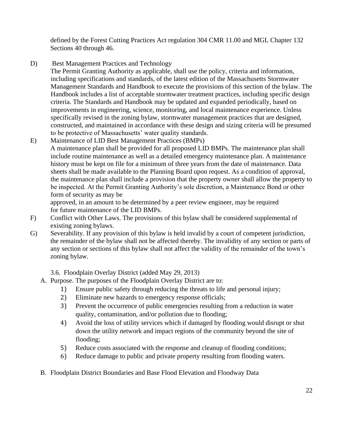defined by the Forest Cutting Practices Act regulation 304 CMR 11.00 and MGL Chapter 132 Sections 40 through 46.

D) Best Management Practices and Technology

The Permit Granting Authority as applicable, shall use the policy, criteria and information, including specifications and standards, of the latest edition of the Massachusetts Stormwater Management Standards and Handbook to execute the provisions of this section of the bylaw. The Handbook includes a list of acceptable stormwater treatment practices, including specific design criteria. The Standards and Handbook may be updated and expanded periodically, based on improvements in engineering, science, monitoring, and local maintenance experience. Unless specifically revised in the zoning bylaw, stormwater management practices that are designed, constructed, and maintained in accordance with these design and sizing criteria will be presumed to be protective of Massachusetts' water quality standards.

E) Maintenance of LID Best Management Practices (BMPs) A maintenance plan shall be provided for all proposed LID BMPs. The maintenance plan shall include routine maintenance as well as a detailed emergency maintenance plan. A maintenance history must be kept on file for a minimum of three years from the date of maintenance. Data sheets shall be made available to the Planning Board upon request. As a condition of approval, the maintenance plan shall include a provision that the property owner shall allow the property to be inspected. At the Permit Granting Authority's sole discretion, a Maintenance Bond or other form of security as may be

approved, in an amount to be determined by a peer review engineer, may be required for future maintenance of the LID BMPs.

- F) Conflict with Other Laws. The provisions of this bylaw shall be considered supplemental of existing zoning bylaws.
- G) Severability. If any provision of this bylaw is held invalid by a court of competent jurisdiction, the remainder of the bylaw shall not be affected thereby. The invalidity of any section or parts of any section or sections of this bylaw shall not affect the validity of the remainder of the town's zoning bylaw.

3.6. Floodplain Overlay District (added May 29, 2013)

- A. Purpose. The purposes of the Floodplain Overlay District are to:
	- 1) Ensure public safety through reducing the threats to life and personal injury;
	- 2) Eliminate new hazards to emergency response officials;
	- 3) Prevent the occurrence of public emergencies resulting from a reduction in water quality, contamination, and/or pollution due to flooding;
	- 4) Avoid the loss of utility services which if damaged by flooding would disrupt or shut down the utility network and impact regions of the community beyond the site of flooding;
	- 5) Reduce costs associated with the response and cleanup of flooding conditions;
	- 6) Reduce damage to public and private property resulting from flooding waters.
- B. Floodplain District Boundaries and Base Flood Elevation and Floodway Data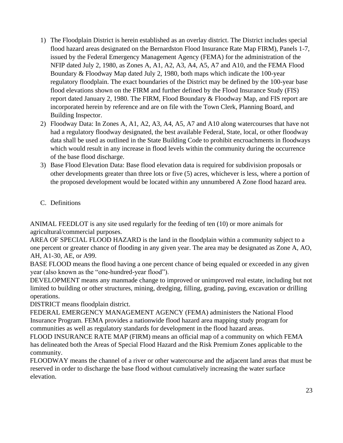- 1) The Floodplain District is herein established as an overlay district. The District includes special flood hazard areas designated on the Bernardston Flood Insurance Rate Map FIRM), Panels 1-7, issued by the Federal Emergency Management Agency (FEMA) for the administration of the NFIP dated July 2, 1980, as Zones A, A1, A2, A3, A4, A5, A7 and A10, and the FEMA Flood Boundary & Floodway Map dated July 2, 1980, both maps which indicate the 100-year regulatory floodplain. The exact boundaries of the District may be defined by the 100-year base flood elevations shown on the FIRM and further defined by the Flood Insurance Study (FIS) report dated January 2, 1980. The FIRM, Flood Boundary & Floodway Map, and FIS report are incorporated herein by reference and are on file with the Town Clerk, Planning Board, and Building Inspector.
- 2) Floodway Data: In Zones A, A1, A2, A3, A4, A5, A7 and A10 along watercourses that have not had a regulatory floodway designated, the best available Federal, State, local, or other floodway data shall be used as outlined in the State Building Code to prohibit encroachments in floodways which would result in any increase in flood levels within the community during the occurrence of the base flood discharge.
- 3) Base Flood Elevation Data: Base flood elevation data is required for subdivision proposals or other developments greater than three lots or five (5) acres, whichever is less, where a portion of the proposed development would be located within any unnumbered A Zone flood hazard area.
- C. Definitions

ANIMAL FEEDLOT is any site used regularly for the feeding of ten (10) or more animals for agricultural/commercial purposes.

AREA OF SPECIAL FLOOD HAZARD is the land in the floodplain within a community subject to a one percent or greater chance of flooding in any given year. The area may be designated as Zone A, AO, AH, A1-30, AE, or A99.

BASE FLOOD means the flood having a one percent chance of being equaled or exceeded in any given year (also known as the "one-hundred-year flood").

DEVELOPMENT means any manmade change to improved or unimproved real estate, including but not limited to building or other structures, mining, dredging, filling, grading, paving, excavation or drilling operations.

DISTRICT means floodplain district.

FEDERAL EMERGENCY MANAGEMENT AGENCY (FEMA) administers the National Flood Insurance Program. FEMA provides a nationwide flood hazard area mapping study program for communities as well as regulatory standards for development in the flood hazard areas.

FLOOD INSURANCE RATE MAP (FIRM) means an official map of a community on which FEMA has delineated both the Areas of Special Flood Hazard and the Risk Premium Zones applicable to the community.

FLOODWAY means the channel of a river or other watercourse and the adjacent land areas that must be reserved in order to discharge the base flood without cumulatively increasing the water surface elevation.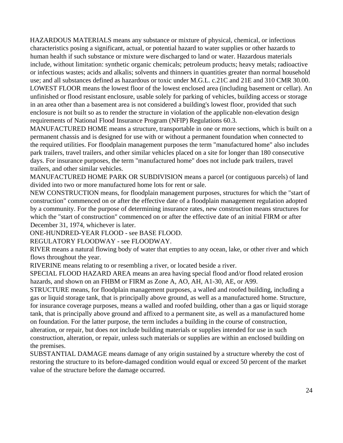HAZARDOUS MATERIALS means any substance or mixture of physical, chemical, or infectious characteristics posing a significant, actual, or potential hazard to water supplies or other hazards to human health if such substance or mixture were discharged to land or water. Hazardous materials include, without limitation: synthetic organic chemicals; petroleum products; heavy metals; radioactive or infectious wastes; acids and alkalis; solvents and thinners in quantities greater than normal household use; and all substances defined as hazardous or toxic under M.G.L. c.21C and 21E and 310 CMR 30.00. LOWEST FLOOR means the lowest floor of the lowest enclosed area (including basement or cellar). An unfinished or flood resistant enclosure, usable solely for parking of vehicles, building access or storage in an area other than a basement area is not considered a building's lowest floor, provided that such enclosure is not built so as to render the structure in violation of the applicable non-elevation design requirements of National Flood Insurance Program (NFIP) Regulations 60.3.

MANUFACTURED HOME means a structure, transportable in one or more sections, which is built on a permanent chassis and is designed for use with or without a permanent foundation when connected to the required utilities. For floodplain management purposes the term "manufactured home" also includes park trailers, travel trailers, and other similar vehicles placed on a site for longer than 180 consecutive days. For insurance purposes, the term "manufactured home" does not include park trailers, travel trailers, and other similar vehicles.

MANUFACTURED HOME PARK OR SUBDIVISION means a parcel (or contiguous parcels) of land divided into two or more manufactured home lots for rent or sale.

NEW CONSTRUCTION means, for floodplain management purposes, structures for which the "start of construction" commenced on or after the effective date of a floodplain management regulation adopted by a community. For the purpose of determining insurance rates, new construction means structures for which the "start of construction" commenced on or after the effective date of an initial FIRM or after December 31, 1974, whichever is later.

ONE-HUNDRED-YEAR FLOOD - see BASE FLOOD.

REGULATORY FLOODWAY - see FLOODWAY.

RIVER means a natural flowing body of water that empties to any ocean, lake, or other river and which flows throughout the year.

RIVERINE means relating to or resembling a river, or located beside a river.

SPECIAL FLOOD HAZARD AREA means an area having special flood and/or flood related erosion hazards, and shown on an FHBM or FIRM as Zone A, AO, AH, A1-30, AE, or A99.

STRUCTURE means, for floodplain management purposes, a walled and roofed building, including a gas or liquid storage tank, that is principally above ground, as well as a manufactured home. Structure, for insurance coverage purposes, means a walled and roofed building, other than a gas or liquid storage tank, that is principally above ground and affixed to a permanent site, as well as a manufactured home on foundation. For the latter purpose, the term includes a building in the course of construction, alteration, or repair, but does not include building materials or supplies intended for use in such construction, alteration, or repair, unless such materials or supplies are within an enclosed building on the premises.

SUBSTANTIAL DAMAGE means damage of any origin sustained by a structure whereby the cost of restoring the structure to its before-damaged condition would equal or exceed 50 percent of the market value of the structure before the damage occurred.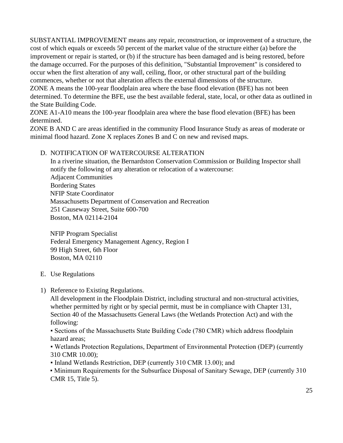SUBSTANTIAL IMPROVEMENT means any repair, reconstruction, or improvement of a structure, the cost of which equals or exceeds 50 percent of the market value of the structure either (a) before the improvement or repair is started, or (b) if the structure has been damaged and is being restored, before the damage occurred. For the purposes of this definition, "Substantial Improvement" is considered to occur when the first alteration of any wall, ceiling, floor, or other structural part of the building commences, whether or not that alteration affects the external dimensions of the structure. ZONE A means the 100-year floodplain area where the base flood elevation (BFE) has not been

determined. To determine the BFE, use the best available federal, state, local, or other data as outlined in the State Building Code.

ZONE A1-A10 means the 100-year floodplain area where the base flood elevation (BFE) has been determined.

ZONE B AND C are areas identified in the community Flood Insurance Study as areas of moderate or minimal flood hazard. Zone X replaces Zones B and C on new and revised maps.

#### D. NOTIFICATION OF WATERCOURSE ALTERATION

In a riverine situation, the Bernardston Conservation Commission or Building Inspector shall notify the following of any alteration or relocation of a watercourse: Adjacent Communities Bordering States NFIP State Coordinator Massachusetts Department of Conservation and Recreation 251 Causeway Street, Suite 600-700 Boston, MA 02114-2104

NFIP Program Specialist Federal Emergency Management Agency, Region I 99 High Street, 6th Floor Boston, MA 02110

#### E. Use Regulations

1) Reference to Existing Regulations.

All development in the Floodplain District, including structural and non-structural activities, whether permitted by right or by special permit, must be in compliance with Chapter 131, Section 40 of the Massachusetts General Laws (the Wetlands Protection Act) and with the following:

▪ Sections of the Massachusetts State Building Code (780 CMR) which address floodplain hazard areas;

▪ Wetlands Protection Regulations, Department of Environmental Protection (DEP) (currently 310 CMR 10.00);

▪ Inland Wetlands Restriction, DEP (currently 310 CMR 13.00); and

• Minimum Requirements for the Subsurface Disposal of Sanitary Sewage, DEP (currently 310) CMR 15, Title 5).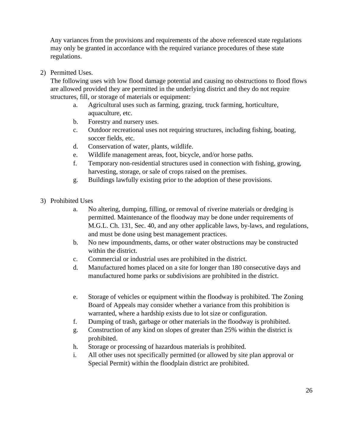Any variances from the provisions and requirements of the above referenced state regulations may only be granted in accordance with the required variance procedures of these state regulations.

2) Permitted Uses.

The following uses with low flood damage potential and causing no obstructions to flood flows are allowed provided they are permitted in the underlying district and they do not require structures, fill, or storage of materials or equipment:

- a. Agricultural uses such as farming, grazing, truck farming, horticulture, aquaculture, etc.
- b. Forestry and nursery uses.
- c. Outdoor recreational uses not requiring structures, including fishing, boating, soccer fields, etc.
- d. Conservation of water, plants, wildlife.
- e. Wildlife management areas, foot, bicycle, and/or horse paths.
- f. Temporary non-residential structures used in connection with fishing, growing, harvesting, storage, or sale of crops raised on the premises.
- g. Buildings lawfully existing prior to the adoption of these provisions.
- 3) Prohibited Uses
	- a. No altering, dumping, filling, or removal of riverine materials or dredging is permitted. Maintenance of the floodway may be done under requirements of M.G.L. Ch. 131, Sec. 40, and any other applicable laws, by-laws, and regulations, and must be done using best management practices.
	- b. No new impoundments, dams, or other water obstructions may be constructed within the district.
	- c. Commercial or industrial uses are prohibited in the district.
	- d. Manufactured homes placed on a site for longer than 180 consecutive days and manufactured home parks or subdivisions are prohibited in the district.
	- e. Storage of vehicles or equipment within the floodway is prohibited. The Zoning Board of Appeals may consider whether a variance from this prohibition is warranted, where a hardship exists due to lot size or configuration.
	- f. Dumping of trash, garbage or other materials in the floodway is prohibited.
	- g. Construction of any kind on slopes of greater than 25% within the district is prohibited.
	- h. Storage or processing of hazardous materials is prohibited.
	- i. All other uses not specifically permitted (or allowed by site plan approval or Special Permit) within the floodplain district are prohibited.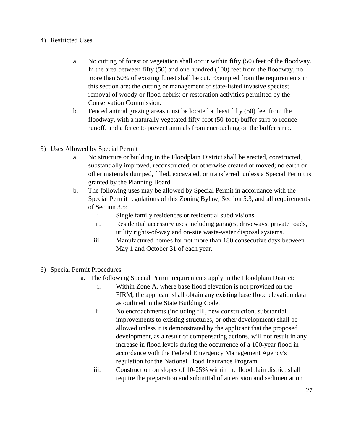#### 4) Restricted Uses

- a. No cutting of forest or vegetation shall occur within fifty (50) feet of the floodway. In the area between fifty (50) and one hundred (100) feet from the floodway, no more than 50% of existing forest shall be cut. Exempted from the requirements in this section are: the cutting or management of state-listed invasive species; removal of woody or flood debris; or restoration activities permitted by the Conservation Commission.
- b. Fenced animal grazing areas must be located at least fifty (50) feet from the floodway, with a naturally vegetated fifty-foot (50-foot) buffer strip to reduce runoff, and a fence to prevent animals from encroaching on the buffer strip.
- 5) Uses Allowed by Special Permit
	- a. No structure or building in the Floodplain District shall be erected, constructed, substantially improved, reconstructed, or otherwise created or moved; no earth or other materials dumped, filled, excavated, or transferred, unless a Special Permit is granted by the Planning Board.
	- b. The following uses may be allowed by Special Permit in accordance with the Special Permit regulations of this Zoning Bylaw, Section 5.3, and all requirements of Section 3.5:
		- i. Single family residences or residential subdivisions.
		- ii. Residential accessory uses including garages, driveways, private roads, utility rights-of-way and on-site waste-water disposal systems.
		- iii. Manufactured homes for not more than 180 consecutive days between May 1 and October 31 of each year.
- 6) Special Permit Procedures
	- a. The following Special Permit requirements apply in the Floodplain District:
		- i. Within Zone A, where base flood elevation is not provided on the FIRM, the applicant shall obtain any existing base flood elevation data as outlined in the State Building Code,
		- ii. No encroachments (including fill, new construction, substantial improvements to existing structures, or other development) shall be allowed unless it is demonstrated by the applicant that the proposed development, as a result of compensating actions, will not result in any increase in flood levels during the occurrence of a 100-year flood in accordance with the Federal Emergency Management Agency's regulation for the National Flood Insurance Program.
		- iii. Construction on slopes of 10-25% within the floodplain district shall require the preparation and submittal of an erosion and sedimentation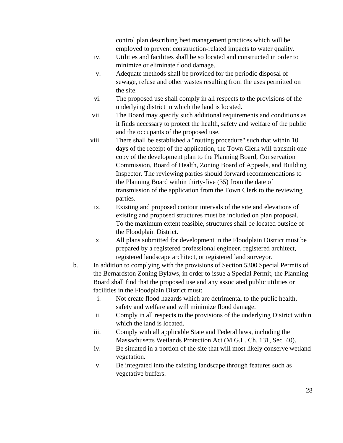control plan describing best management practices which will be employed to prevent construction-related impacts to water quality.

- iv. Utilities and facilities shall be so located and constructed in order to minimize or eliminate flood damage.
- v. Adequate methods shall be provided for the periodic disposal of sewage, refuse and other wastes resulting from the uses permitted on the site.
- vi. The proposed use shall comply in all respects to the provisions of the underlying district in which the land is located.
- vii. The Board may specify such additional requirements and conditions as it finds necessary to protect the health, safety and welfare of the public and the occupants of the proposed use.
- viii. There shall be established a "routing procedure" such that within 10 days of the receipt of the application, the Town Clerk will transmit one copy of the development plan to the Planning Board, Conservation Commission, Board of Health, Zoning Board of Appeals, and Building Inspector. The reviewing parties should forward recommendations to the Planning Board within thirty-five (35) from the date of transmission of the application from the Town Clerk to the reviewing parties.
- ix. Existing and proposed contour intervals of the site and elevations of existing and proposed structures must be included on plan proposal. To the maximum extent feasible, structures shall be located outside of the Floodplain District.
- x. All plans submitted for development in the Floodplain District must be prepared by a registered professional engineer, registered architect, registered landscape architect, or registered land surveyor.
- b. In addition to complying with the provisions of Section 5300 Special Permits of the Bernardston Zoning Bylaws, in order to issue a Special Permit, the Planning Board shall find that the proposed use and any associated public utilities or facilities in the Floodplain District must:
	- i. Not create flood hazards which are detrimental to the public health, safety and welfare and will minimize flood damage.
	- ii. Comply in all respects to the provisions of the underlying District within which the land is located.
	- iii. Comply with all applicable State and Federal laws, including the Massachusetts Wetlands Protection Act (M.G.L. Ch. 131, Sec. 40).
	- iv. Be situated in a portion of the site that will most likely conserve wetland vegetation.
	- v. Be integrated into the existing landscape through features such as vegetative buffers.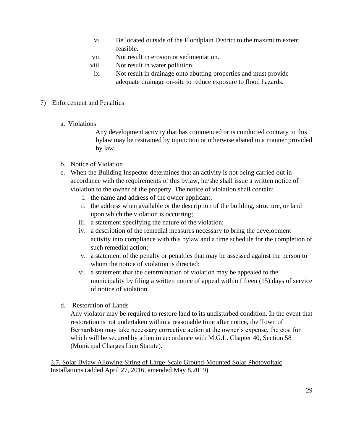- vi. Be located outside of the Floodplain District to the maximum extent feasible.
- vii. Not result in erosion or sedimentation.
- viii. Not result in water pollution.
	- ix. Not result in drainage onto abutting properties and must provide adequate drainage on-site to reduce exposure to flood hazards.

#### 7) Enforcement and Penalties

a. Violations

Any development activity that has commenced or is conducted contrary to this bylaw may be restrained by injunction or otherwise abated in a manner provided by law.

- b. Notice of Violation
- c. When the Building Inspector determines that an activity is not being carried out in accordance with the requirements of this bylaw, he/she shall issue a written notice of violation to the owner of the property. The notice of violation shall contain:
	- i. the name and address of the owner applicant;
	- ii. the address when available or the description of the building, structure, or land upon which the violation is occurring;
	- iii. a statement specifying the nature of the violation;
	- iv. a description of the remedial measures necessary to bring the development activity into compliance with this bylaw and a time schedule for the completion of such remedial action;
	- v. a statement of the penalty or penalties that may be assessed against the person to whom the notice of violation is directed;
	- vi. a statement that the determination of violation may be appealed to the municipality by filing a written notice of appeal within fifteen (15) days of service of notice of violation.
- d. Restoration of Lands

Any violator may be required to restore land to its undisturbed condition. In the event that restoration is not undertaken within a reasonable time after notice, the Town of Bernardston may take necessary corrective action at the owner's expense, the cost for which will be secured by a lien in accordance with M.G.L. Chapter 40, Section 58 (Municipal Charges Lien Statute).

3.7. Solar Bylaw Allowing Siting of Large-Scale Ground-Mounted Solar Photovoltaic Installations (added April 27, 2016, amended May 8,2019)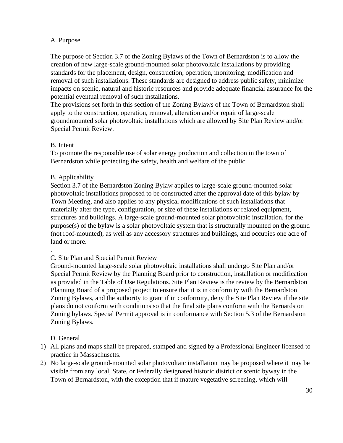#### A. Purpose

The purpose of Section 3.7 of the Zoning Bylaws of the Town of Bernardston is to allow the creation of new large-scale ground-mounted solar photovoltaic installations by providing standards for the placement, design, construction, operation, monitoring, modification and removal of such installations. These standards are designed to address public safety, minimize impacts on scenic, natural and historic resources and provide adequate financial assurance for the potential eventual removal of such installations.

The provisions set forth in this section of the Zoning Bylaws of the Town of Bernardston shall apply to the construction, operation, removal, alteration and/or repair of large-scale groundmounted solar photovoltaic installations which are allowed by Site Plan Review and/or Special Permit Review.

#### B. Intent

To promote the responsible use of solar energy production and collection in the town of Bernardston while protecting the safety, health and welfare of the public.

#### B. Applicability

Section 3.7 of the Bernardston Zoning Bylaw applies to large-scale ground-mounted solar photovoltaic installations proposed to be constructed after the approval date of this bylaw by Town Meeting, and also applies to any physical modifications of such installations that materially alter the type, configuration, or size of these installations or related equipment, structures and buildings. A large-scale ground-mounted solar photovoltaic installation, for the purpose(s) of the bylaw is a solar photovoltaic system that is structurally mounted on the ground (not roof-mounted), as well as any accessory structures and buildings, and occupies one acre of land or more.

#### C. Site Plan and Special Permit Review

Ground-mounted large-scale solar photovoltaic installations shall undergo Site Plan and/or Special Permit Review by the Planning Board prior to construction, installation or modification as provided in the Table of Use Regulations. Site Plan Review is the review by the Bernardston Planning Board of a proposed project to ensure that it is in conformity with the Bernardston Zoning Bylaws, and the authority to grant if in conformity, deny the Site Plan Review if the site plans do not conform with conditions so that the final site plans conform with the Bernardston Zoning bylaws. Special Permit approval is in conformance with Section 5.3 of the Bernardston Zoning Bylaws.

D. General

.

- 1) All plans and maps shall be prepared, stamped and signed by a Professional Engineer licensed to practice in Massachusetts.
- 2) No large-scale ground-mounted solar photovoltaic installation may be proposed where it may be visible from any local, State, or Federally designated historic district or scenic byway in the Town of Bernardston, with the exception that if mature vegetative screening, which will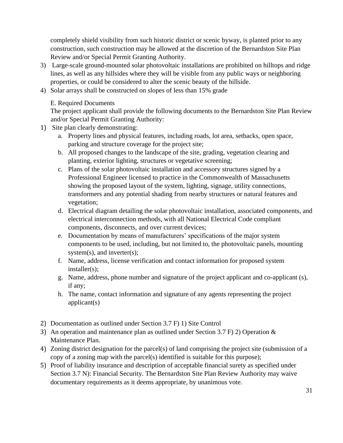completely shield visibility from such historic district or scenic byway, is planted prior to any construction, such construction may be allowed at the discretion of the Bernardston Site Plan Review and/or Special Permit Granting Authority.

- 3) Large-scale ground-mounted solar photovoltaic installations are prohibited on hilltops and ridge lines, as well as any hillsides where they will be visible from any public ways or neighboring properties, or could be considered to alter the scenic beauty of the hillside.
- 4) Solar arrays shall be constructed on slopes of less than 15% grade

#### E. Required Documents

The project applicant shall provide the following documents to the Bernardston Site Plan Review and/or Special Permit Granting Authority:

- 1) Site plan clearly demonstrating:
	- a. Property lines and physical features, including roads, lot area, setbacks, open space, parking and structure coverage for the project site;
	- b. All proposed changes to the landscape of the site, grading, vegetation clearing and planting, exterior lighting, structures or vegetative screening;
	- c. Plans of the solar photovoltaic installation and accessory structures signed by a Professional Engineer licensed to practice in the Commonwealth of Massachusetts showing the proposed layout of the system, lighting, signage, utility connections, transformers and any potential shading from nearby structures or natural features and vegetation;
	- d. Electrical diagram detailing the solar photovoltaic installation, associated components, and electrical interconnection methods, with all National Electrical Code compliant components, disconnects, and over current devices;
	- e. Documentation by means of manufacturers' specifications of the major system components to be used, including, but not limited to, the photovoltaic panels, mounting system(s), and inverter(s);
	- f. Name, address, license verification and contact information for proposed system installer(s);
	- g. Name, address, phone number and signature of the project applicant and co-applicant (s), if any;
	- h. The name, contact information and signature of any agents representing the project applicant(s)
- 2) Documentation as outlined under Section 3.7 F) 1) Site Control
- 3) An operation and maintenance plan as outlined under Section 3.7 F) 2) Operation & Maintenance Plan.
- 4) Zoning district designation for the parcel(s) of land comprising the project site (submission of a copy of a zoning map with the parcel(s) identified is suitable for this purpose);
- 5) Proof of liability insurance and description of acceptable financial surety as specified under Section 3.7 N): Financial Security. The Bernardston Site Plan Review Authority may waive documentary requirements as it deems appropriate, by unanimous vote.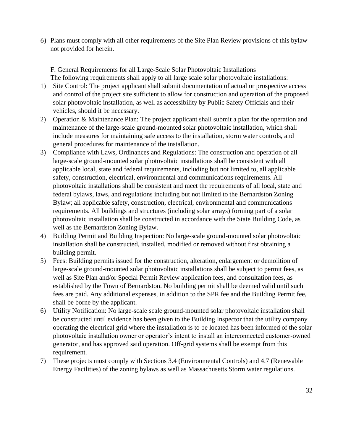6) Plans must comply with all other requirements of the Site Plan Review provisions of this bylaw not provided for herein.

F. General Requirements for all Large-Scale Solar Photovoltaic Installations The following requirements shall apply to all large scale solar photovoltaic installations:

- 1) Site Control: The project applicant shall submit documentation of actual or prospective access and control of the project site sufficient to allow for construction and operation of the proposed solar photovoltaic installation, as well as accessibility by Public Safety Officials and their vehicles, should it be necessary.
- 2) Operation & Maintenance Plan: The project applicant shall submit a plan for the operation and maintenance of the large-scale ground-mounted solar photovoltaic installation, which shall include measures for maintaining safe access to the installation, storm water controls, and general procedures for maintenance of the installation.
- 3) Compliance with Laws, Ordinances and Regulations: The construction and operation of all large-scale ground-mounted solar photovoltaic installations shall be consistent with all applicable local, state and federal requirements, including but not limited to, all applicable safety, construction, electrical, environmental and communications requirements. All photovoltaic installations shall be consistent and meet the requirements of all local, state and federal bylaws, laws, and regulations including but not limited to the Bernardston Zoning Bylaw; all applicable safety, construction, electrical, environmental and communications requirements. All buildings and structures (including solar arrays) forming part of a solar photovoltaic installation shall be constructed in accordance with the State Building Code, as well as the Bernardston Zoning Bylaw.
- 4) Building Permit and Building Inspection: No large-scale ground-mounted solar photovoltaic installation shall be constructed, installed, modified or removed without first obtaining a building permit.
- 5) Fees: Building permits issued for the construction, alteration, enlargement or demolition of large-scale ground-mounted solar photovoltaic installations shall be subject to permit fees, as well as Site Plan and/or Special Permit Review application fees, and consultation fees, as established by the Town of Bernardston. No building permit shall be deemed valid until such fees are paid. Any additional expenses, in addition to the SPR fee and the Building Permit fee, shall be borne by the applicant.
- 6) Utility Notification: No large-scale scale ground-mounted solar photovoltaic installation shall be constructed until evidence has been given to the Building Inspector that the utility company operating the electrical grid where the installation is to be located has been informed of the solar photovoltaic installation owner or operator's intent to install an interconnected customer-owned generator, and has approved said operation. Off-grid systems shall be exempt from this requirement.
- 7) These projects must comply with Sections 3.4 (Environmental Controls) and 4.7 (Renewable Energy Facilities) of the zoning bylaws as well as Massachusetts Storm water regulations.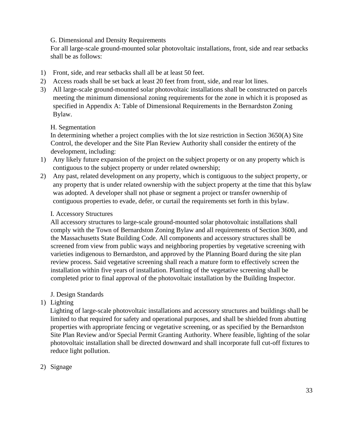G. Dimensional and Density Requirements

For all large-scale ground-mounted solar photovoltaic installations, front, side and rear setbacks shall be as follows:

- 1) Front, side, and rear setbacks shall all be at least 50 feet.
- 2) Access roads shall be set back at least 20 feet from front, side, and rear lot lines.
- 3) All large-scale ground-mounted solar photovoltaic installations shall be constructed on parcels meeting the minimum dimensional zoning requirements for the zone in which it is proposed as specified in Appendix A: Table of Dimensional Requirements in the Bernardston Zoning Bylaw.

#### H. Segmentation

In determining whether a project complies with the lot size restriction in Section 3650(A) Site Control, the developer and the Site Plan Review Authority shall consider the entirety of the development, including:

- 1) Any likely future expansion of the project on the subject property or on any property which is contiguous to the subject property or under related ownership;
- 2) Any past, related development on any property, which is contiguous to the subject property, or any property that is under related ownership with the subject property at the time that this bylaw was adopted. A developer shall not phase or segment a project or transfer ownership of contiguous properties to evade, defer, or curtail the requirements set forth in this bylaw.

#### I. Accessory Structures

All accessory structures to large-scale ground-mounted solar photovoltaic installations shall comply with the Town of Bernardston Zoning Bylaw and all requirements of Section 3600, and the Massachusetts State Building Code. All components and accessory structures shall be screened from view from public ways and neighboring properties by vegetative screening with varieties indigenous to Bernardston, and approved by the Planning Board during the site plan review process. Said vegetative screening shall reach a mature form to effectively screen the installation within five years of installation. Planting of the vegetative screening shall be completed prior to final approval of the photovoltaic installation by the Building Inspector.

#### J. Design Standards

1) Lighting

Lighting of large-scale photovoltaic installations and accessory structures and buildings shall be limited to that required for safety and operational purposes, and shall be shielded from abutting properties with appropriate fencing or vegetative screening, or as specified by the Bernardston Site Plan Review and/or Special Permit Granting Authority. Where feasible, lighting of the solar photovoltaic installation shall be directed downward and shall incorporate full cut-off fixtures to reduce light pollution.

#### 2) Signage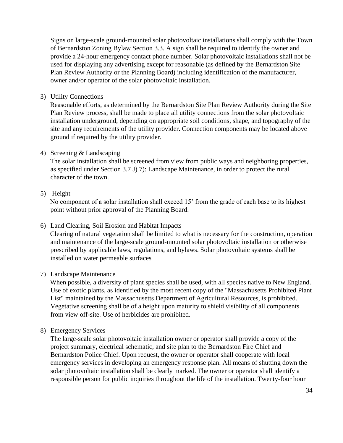Signs on large-scale ground-mounted solar photovoltaic installations shall comply with the Town of Bernardston Zoning Bylaw Section 3.3. A sign shall be required to identify the owner and provide a 24-hour emergency contact phone number. Solar photovoltaic installations shall not be used for displaying any advertising except for reasonable (as defined by the Bernardston Site Plan Review Authority or the Planning Board) including identification of the manufacturer, owner and/or operator of the solar photovoltaic installation.

3) Utility Connections

Reasonable efforts, as determined by the Bernardston Site Plan Review Authority during the Site Plan Review process, shall be made to place all utility connections from the solar photovoltaic installation underground, depending on appropriate soil conditions, shape, and topography of the site and any requirements of the utility provider. Connection components may be located above ground if required by the utility provider.

#### 4) Screening & Landscaping

The solar installation shall be screened from view from public ways and neighboring properties, as specified under Section 3.7 J) 7): Landscape Maintenance, in order to protect the rural character of the town.

#### 5) Height

No component of a solar installation shall exceed 15' from the grade of each base to its highest point without prior approval of the Planning Board.

6) Land Clearing, Soil Erosion and Habitat Impacts

Clearing of natural vegetation shall be limited to what is necessary for the construction, operation and maintenance of the large-scale ground-mounted solar photovoltaic installation or otherwise prescribed by applicable laws, regulations, and bylaws. Solar photovoltaic systems shall be installed on water permeable surfaces

#### 7) Landscape Maintenance

When possible, a diversity of plant species shall be used, with all species native to New England. Use of exotic plants, as identified by the most recent copy of the "Massachusetts Prohibited Plant List" maintained by the Massachusetts Department of Agricultural Resources, is prohibited. Vegetative screening shall be of a height upon maturity to shield visibility of all components from view off-site. Use of herbicides are prohibited.

8) Emergency Services

The large-scale solar photovoltaic installation owner or operator shall provide a copy of the project summary, electrical schematic, and site plan to the Bernardston Fire Chief and Bernardston Police Chief. Upon request, the owner or operator shall cooperate with local emergency services in developing an emergency response plan. All means of shutting down the solar photovoltaic installation shall be clearly marked. The owner or operator shall identify a responsible person for public inquiries throughout the life of the installation. Twenty-four hour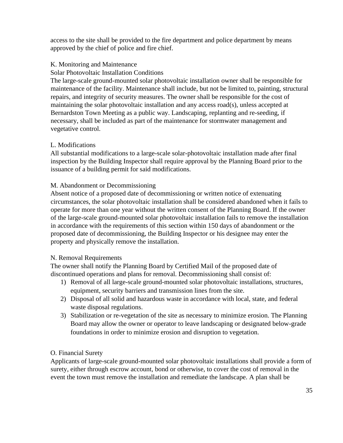access to the site shall be provided to the fire department and police department by means approved by the chief of police and fire chief.

#### K. Monitoring and Maintenance

#### Solar Photovoltaic Installation Conditions

The large-scale ground-mounted solar photovoltaic installation owner shall be responsible for maintenance of the facility. Maintenance shall include, but not be limited to, painting, structural repairs, and integrity of security measures. The owner shall be responsible for the cost of maintaining the solar photovoltaic installation and any access road(s), unless accepted at Bernardston Town Meeting as a public way. Landscaping, replanting and re-seeding, if necessary, shall be included as part of the maintenance for stormwater management and vegetative control.

#### L. Modifications

All substantial modifications to a large-scale solar-photovoltaic installation made after final inspection by the Building Inspector shall require approval by the Planning Board prior to the issuance of a building permit for said modifications.

#### M. Abandonment or Decommissioning

Absent notice of a proposed date of decommissioning or written notice of extenuating circumstances, the solar photovoltaic installation shall be considered abandoned when it fails to operate for more than one year without the written consent of the Planning Board. If the owner of the large-scale ground-mounted solar photovoltaic installation fails to remove the installation in accordance with the requirements of this section within 150 days of abandonment or the proposed date of decommissioning, the Building Inspector or his designee may enter the property and physically remove the installation.

#### N. Removal Requirements

The owner shall notify the Planning Board by Certified Mail of the proposed date of discontinued operations and plans for removal. Decommissioning shall consist of:

- 1) Removal of all large-scale ground-mounted solar photovoltaic installations, structures, equipment, security barriers and transmission lines from the site.
- 2) Disposal of all solid and hazardous waste in accordance with local, state, and federal waste disposal regulations.
- 3) Stabilization or re-vegetation of the site as necessary to minimize erosion. The Planning Board may allow the owner or operator to leave landscaping or designated below-grade foundations in order to minimize erosion and disruption to vegetation.

#### O. Financial Surety

Applicants of large-scale ground-mounted solar photovoltaic installations shall provide a form of surety, either through escrow account, bond or otherwise, to cover the cost of removal in the event the town must remove the installation and remediate the landscape. A plan shall be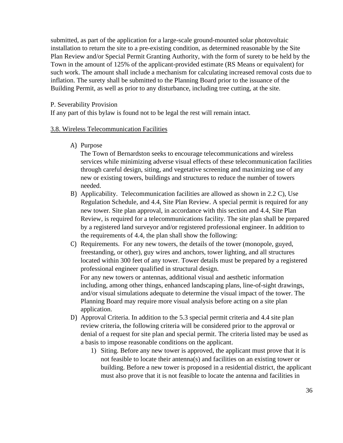submitted, as part of the application for a large-scale ground-mounted solar photovoltaic installation to return the site to a pre-existing condition, as determined reasonable by the Site Plan Review and/or Special Permit Granting Authority, with the form of surety to be held by the Town in the amount of 125% of the applicant-provided estimate (RS Means or equivalent) for such work. The amount shall include a mechanism for calculating increased removal costs due to inflation. The surety shall be submitted to the Planning Board prior to the issuance of the Building Permit, as well as prior to any disturbance, including tree cutting, at the site.

## P. Severability Provision

If any part of this bylaw is found not to be legal the rest will remain intact.

# 3.8. Wireless Telecommunication Facilities

A) Purpose

The Town of Bernardston seeks to encourage telecommunications and wireless services while minimizing adverse visual effects of these telecommunication facilities through careful design, siting, and vegetative screening and maximizing use of any new or existing towers, buildings and structures to reduce the number of towers needed.

- B) Applicability. Telecommunication facilities are allowed as shown in 2.2 C), Use Regulation Schedule, and 4.4, Site Plan Review. A special permit is required for any new tower. Site plan approval, in accordance with this section and 4.4, Site Plan Review, is required for a telecommunications facility. The site plan shall be prepared by a registered land surveyor and/or registered professional engineer. In addition to the requirements of 4.4, the plan shall show the following:
- C) Requirements. For any new towers, the details of the tower (monopole, guyed, freestanding, or other), guy wires and anchors, tower lighting, and all structures located within 300 feet of any tower. Tower details must be prepared by a registered professional engineer qualified in structural design. For any new towers or antennas, additional visual and aesthetic information including, among other things, enhanced landscaping plans, line-of-sight drawings, and/or visual simulations adequate to determine the visual impact of the tower. The Planning Board may require more visual analysis before acting on a site plan application.
- D) Approval Criteria. In addition to the 5.3 special permit criteria and 4.4 site plan review criteria, the following criteria will be considered prior to the approval or denial of a request for site plan and special permit. The criteria listed may be used as a basis to impose reasonable conditions on the applicant.
	- 1) Siting. Before any new tower is approved, the applicant must prove that it is not feasible to locate their antenna(s) and facilities on an existing tower or building. Before a new tower is proposed in a residential district, the applicant must also prove that it is not feasible to locate the antenna and facilities in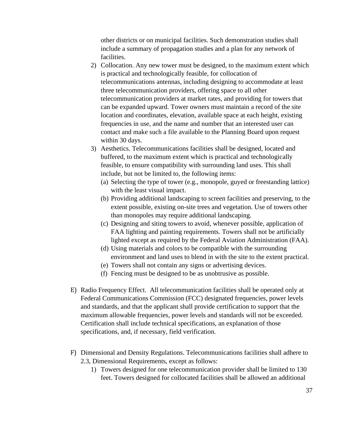other districts or on municipal facilities. Such demonstration studies shall include a summary of propagation studies and a plan for any network of facilities.

- 2) Collocation. Any new tower must be designed, to the maximum extent which is practical and technologically feasible, for collocation of telecommunications antennas, including designing to accommodate at least three telecommunication providers, offering space to all other telecommunication providers at market rates, and providing for towers that can be expanded upward. Tower owners must maintain a record of the site location and coordinates, elevation, available space at each height, existing frequencies in use, and the name and number that an interested user can contact and make such a file available to the Planning Board upon request within 30 days.
- 3) Aesthetics. Telecommunications facilities shall be designed, located and buffered, to the maximum extent which is practical and technologically feasible, to ensure compatibility with surrounding land uses. This shall include, but not be limited to, the following items:
	- (a) Selecting the type of tower (e.g., monopole, guyed or freestanding lattice) with the least visual impact.
	- (b) Providing additional landscaping to screen facilities and preserving, to the extent possible, existing on-site trees and vegetation. Use of towers other than monopoles may require additional landscaping.
	- (c) Designing and siting towers to avoid, whenever possible, application of FAA lighting and painting requirements. Towers shall not be artificially lighted except as required by the Federal Aviation Administration (FAA).
	- (d) Using materials and colors to be compatible with the surrounding environment and land uses to blend in with the site to the extent practical.
	- (e) Towers shall not contain any signs or advertising devices.
	- (f) Fencing must be designed to be as unobtrusive as possible.
- E) Radio Frequency Effect. All telecommunication facilities shall be operated only at Federal Communications Commission (FCC) designated frequencies, power levels and standards, and that the applicant shall provide certification to support that the maximum allowable frequencies, power levels and standards will not be exceeded. Certification shall include technical specifications, an explanation of those specifications, and, if necessary, field verification.
- F) Dimensional and Density Regulations. Telecommunications facilities shall adhere to 2.3, Dimensional Requirements, except as follows:
	- 1) Towers designed for one telecommunication provider shall be limited to 130 feet. Towers designed for collocated facilities shall be allowed an additional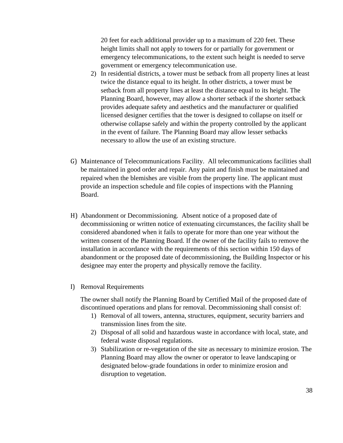20 feet for each additional provider up to a maximum of 220 feet. These height limits shall not apply to towers for or partially for government or emergency telecommunications, to the extent such height is needed to serve government or emergency telecommunication use.

- 2) In residential districts, a tower must be setback from all property lines at least twice the distance equal to its height. In other districts, a tower must be setback from all property lines at least the distance equal to its height. The Planning Board, however, may allow a shorter setback if the shorter setback provides adequate safety and aesthetics and the manufacturer or qualified licensed designer certifies that the tower is designed to collapse on itself or otherwise collapse safely and within the property controlled by the applicant in the event of failure. The Planning Board may allow lesser setbacks necessary to allow the use of an existing structure.
- G) Maintenance of Telecommunications Facility. All telecommunications facilities shall be maintained in good order and repair. Any paint and finish must be maintained and repaired when the blemishes are visible from the property line. The applicant must provide an inspection schedule and file copies of inspections with the Planning Board.
- H) Abandonment or Decommissioning. Absent notice of a proposed date of decommissioning or written notice of extenuating circumstances, the facility shall be considered abandoned when it fails to operate for more than one year without the written consent of the Planning Board. If the owner of the facility fails to remove the installation in accordance with the requirements of this section within 150 days of abandonment or the proposed date of decommissioning, the Building Inspector or his designee may enter the property and physically remove the facility.
- I) Removal Requirements

The owner shall notify the Planning Board by Certified Mail of the proposed date of discontinued operations and plans for removal. Decommissioning shall consist of:

- 1) Removal of all towers, antenna, structures, equipment, security barriers and transmission lines from the site.
- 2) Disposal of all solid and hazardous waste in accordance with local, state, and federal waste disposal regulations.
- 3) Stabilization or re-vegetation of the site as necessary to minimize erosion. The Planning Board may allow the owner or operator to leave landscaping or designated below-grade foundations in order to minimize erosion and disruption to vegetation.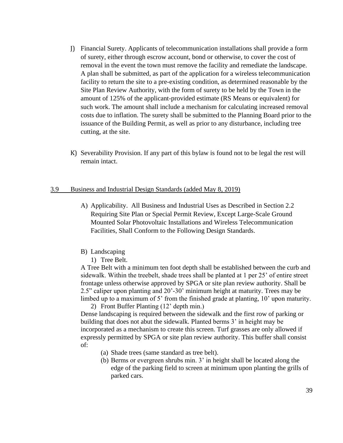- J) Financial Surety. Applicants of telecommunication installations shall provide a form of surety, either through escrow account, bond or otherwise, to cover the cost of removal in the event the town must remove the facility and remediate the landscape. A plan shall be submitted, as part of the application for a wireless telecommunication facility to return the site to a pre-existing condition, as determined reasonable by the Site Plan Review Authority, with the form of surety to be held by the Town in the amount of 125% of the applicant-provided estimate (RS Means or equivalent) for such work. The amount shall include a mechanism for calculating increased removal costs due to inflation. The surety shall be submitted to the Planning Board prior to the issuance of the Building Permit, as well as prior to any disturbance, including tree cutting, at the site.
- K) Severability Provision. If any part of this bylaw is found not to be legal the rest will remain intact.

## 3.9 Business and Industrial Design Standards (added May 8, 2019)

- A) Applicability. All Business and Industrial Uses as Described in Section 2.2 Requiring Site Plan or Special Permit Review, Except Large-Scale Ground Mounted Solar Photovoltaic Installations and Wireless Telecommunication Facilities, Shall Conform to the Following Design Standards.
- B) Landscaping
	- 1) Tree Belt.

A Tree Belt with a minimum ten foot depth shall be established between the curb and sidewalk. Within the treebelt, shade trees shall be planted at 1 per 25' of entire street frontage unless otherwise approved by SPGA or site plan review authority. Shall be 2.5" caliper upon planting and 20'-30' minimum height at maturity. Trees may be limbed up to a maximum of 5' from the finished grade at planting, 10' upon maturity. 2) Front Buffer Planting (12' depth min.)

Dense landscaping is required between the sidewalk and the first row of parking or building that does not abut the sidewalk. Planted berms 3' in height may be incorporated as a mechanism to create this screen. Turf grasses are only allowed if expressly permitted by SPGA or site plan review authority. This buffer shall consist of:

- (a) Shade trees (same standard as tree belt).
- (b) Berms or evergreen shrubs min. 3' in height shall be located along the edge of the parking field to screen at minimum upon planting the grills of parked cars.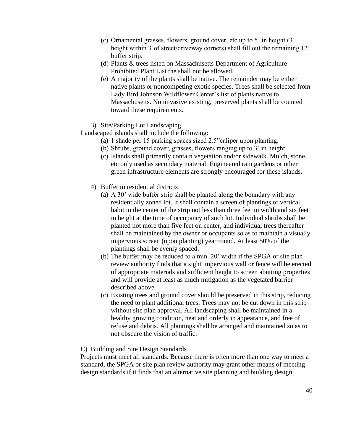- (c) Ornamental grasses, flowers, ground cover, etc up to 5' in height (3' height within 3' of street/driveway corners) shall fill out the remaining 12' buffer strip.
- (d) Plants & trees listed on Massachusetts Department of Agriculture Prohibited Plant List the shall not be allowed.
- (e) A majority of the plants shall be native. The remainder may be either native plants or noncompeting exotic species. Trees shall be selected from Lady Bird Johnson Wildflower Center's list of plants native to Massachusetts. Noninvasive existing, preserved plants shall be counted toward these requirements.
- 3) Site/Parking Lot Landscaping.

Landscaped islands shall include the following:

- (a) 1 shade per 15 parking spaces sized 2.5"caliper upon planting.
- (b) Shrubs, ground cover, grasses, flowers ranging up to 3' in height.
- (c) Islands shall primarily contain vegetation and/or sidewalk. Mulch, stone, etc only used as secondary material. Engineered rain gardens or other green infrastructure elements are strongly encouraged for these islands.
- 4) Buffer to residential districts
	- (a) A 30' wide buffer strip shall be planted along the boundary with any residentially zoned lot. It shall contain a screen of plantings of vertical habit in the center of the strip not less than three feet in width and six feet in height at the time of occupancy of such lot. Individual shrubs shall be planted not more than five feet on center, and individual trees thereafter shall be maintained by the owner or occupants so as to maintain a visually impervious screen (upon planting) year round. At least 50% of the plantings shall be evenly spaced.
	- (b) The buffer may be reduced to a min. 20' width if the SPGA or site plan review authority finds that a sight impervious wall or fence will be erected of appropriate materials and sufficient height to screen abutting properties and will provide at least as much mitigation as the vegetated barrier described above.
	- (c) Existing trees and ground cover should be preserved in this strip, reducing the need to plant additional trees. Trees may not be cut down in this strip without site plan approval. All landscaping shall be maintained in a healthy growing condition, neat and orderly in appearance, and free of refuse and debris. All plantings shall be arranged and maintained so as to not obscure the vision of traffic.

## C) Building and Site Design Standards

Projects must meet all standards. Because there is often more than one way to meet a standard, the SPGA or site plan review authority may grant other means of meeting design standards if it finds that an alternative site planning and building design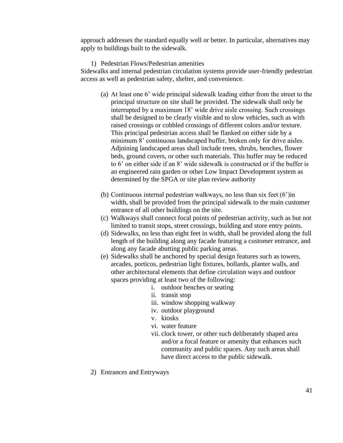approach addresses the standard equally well or better. In particular, alternatives may apply to buildings built to the sidewalk.

## 1) Pedestrian Flows/Pedestrian amenities

Sidewalks and internal pedestrian circulation systems provide user-friendly pedestrian access as well as pedestrian safety, shelter, and convenience.

- (a) At least one 6' wide principal sidewalk leading either from the street to the principal structure on site shall be provided. The sidewalk shall only be interrupted by a maximum 18' wide drive aisle crossing. Such crossings shall be designed to be clearly visible and to slow vehicles, such as with raised crossings or cobbled crossings of different colors and/or texture. This principal pedestrian access shall be flanked on either side by a minimum 8' continuous landscaped buffer, broken only for drive aisles. Adjoining landscaped areas shall include trees, shrubs, benches, flower beds, ground covers, or other such materials. This buffer may be reduced to 6' on either side if an 8' wide sidewalk is constructed or if the buffer is an engineered rain garden or other Low Impact Development system as determined by the SPGA or site plan review authority
- (b) Continuous internal pedestrian walkways, no less than six feet (6')in width, shall be provided from the principal sidewalk to the main customer entrance of all other buildings on the site.
- (c) Walkways shall connect focal points of pedestrian activity, such as but not limited to transit stops, street crossings, building and store entry points.
- (d) Sidewalks, no less than eight feet in width, shall be provided along the full length of the building along any facade featuring a customer entrance, and along any facade abutting public parking areas.
- (e) Sidewalks shall be anchored by special design features such as towers, arcades, porticos, pedestrian light fixtures, bollards, planter walls, and other architectural elements that define circulation ways and outdoor spaces providing at least two of the following:
	- i. outdoor benches or seating
	- ii. transit stop
	- iii. window shopping walkway
	- iv. outdoor playground
	- v. kiosks
	- vi. water feature
	- vii. clock tower, or other such deliberately shaped area and/or a focal feature or amenity that enhances such community and public spaces. Any such areas shall have direct access to the public sidewalk.
- 2) Entrances and Entryways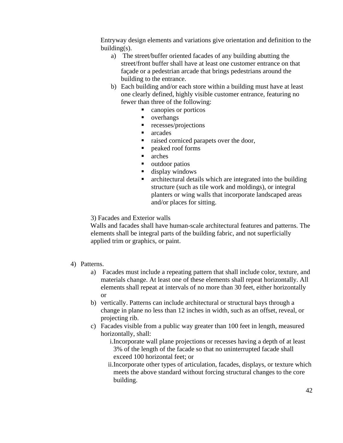Entryway design elements and variations give orientation and definition to the building(s).

- a) The street/buffer oriented facades of any building abutting the street/front buffer shall have at least one customer entrance on that façade or a pedestrian arcade that brings pedestrians around the building to the entrance.
- b) Each building and/or each store within a building must have at least one clearly defined, highly visible customer entrance, featuring no fewer than three of the following:
	- canopies or porticos
	- overhangs
	- recesses/projections
	- arcades
	- raised corniced parapets over the door,
	- peaked roof forms
	- arches
	- outdoor patios
	- display windows
	- architectural details which are integrated into the building structure (such as tile work and moldings), or integral planters or wing walls that incorporate landscaped areas and/or places for sitting.

3) Facades and Exterior walls

Walls and facades shall have human-scale architectural features and patterns. The elements shall be integral parts of the building fabric, and not superficially applied trim or graphics, or paint.

## 4) Patterns.

- a) Facades must include a repeating pattern that shall include color, texture, and materials change. At least one of these elements shall repeat horizontally. All elements shall repeat at intervals of no more than 30 feet, either horizontally or
- b) vertically. Patterns can include architectural or structural bays through a change in plane no less than 12 inches in width, such as an offset, reveal, or projecting rib.
- c) Facades visible from a public way greater than 100 feet in length, measured horizontally, shall:
	- i.Incorporate wall plane projections or recesses having a depth of at least 3% of the length of the facade so that no uninterrupted facade shall exceed 100 horizontal feet; or
	- ii.Incorporate other types of articulation, facades, displays, or texture which meets the above standard without forcing structural changes to the core building.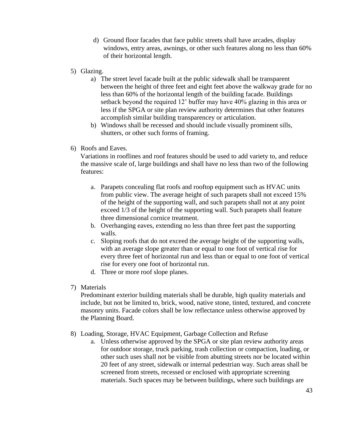- d) Ground floor facades that face public streets shall have arcades, display windows, entry areas, awnings, or other such features along no less than 60% of their horizontal length.
- 5) Glazing.
	- a) The street level facade built at the public sidewalk shall be transparent between the height of three feet and eight feet above the walkway grade for no less than 60% of the horizontal length of the building facade. Buildings setback beyond the required 12' buffer may have 40% glazing in this area or less if the SPGA or site plan review authority determines that other features accomplish similar building transparencey or articulation.
	- b) Windows shall be recessed and should include visually prominent sills, shutters, or other such forms of framing.
- 6) Roofs and Eaves.

Variations in rooflines and roof features should be used to add variety to, and reduce the massive scale of, large buildings and shall have no less than two of the following features:

- a. Parapets concealing flat roofs and rooftop equipment such as HVAC units from public view. The average height of such parapets shall not exceed 15% of the height of the supporting wall, and such parapets shall not at any point exceed 1/3 of the height of the supporting wall. Such parapets shall feature three dimensional cornice treatment.
- b. Overhanging eaves, extending no less than three feet past the supporting walls.
- c. Sloping roofs that do not exceed the average height of the supporting walls, with an average slope greater than or equal to one foot of vertical rise for every three feet of horizontal run and less than or equal to one foot of vertical rise for every one foot of horizontal run.
- d. Three or more roof slope planes.
- 7) Materials

Predominant exterior building materials shall be durable, high quality materials and include, but not be limited to, brick, wood, native stone, tinted, textured, and concrete masonry units. Facade colors shall be low reflectance unless otherwise approved by the Planning Board.

- 8) Loading, Storage, HVAC Equipment, Garbage Collection and Refuse
	- a. Unless otherwise approved by the SPGA or site plan review authority areas for outdoor storage, truck parking, trash collection or compaction, loading, or other such uses shall not be visible from abutting streets nor be located within 20 feet of any street, sidewalk or internal pedestrian way. Such areas shall be screened from streets, recessed or enclosed with appropriate screening materials. Such spaces may be between buildings, where such buildings are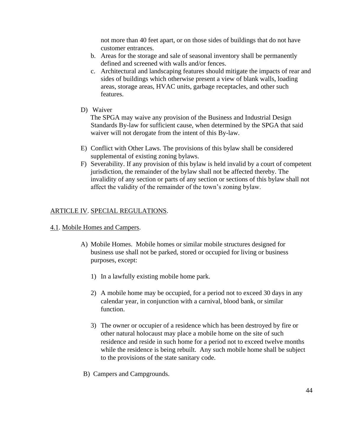not more than 40 feet apart, or on those sides of buildings that do not have customer entrances.

- b. Areas for the storage and sale of seasonal inventory shall be permanently defined and screened with walls and/or fences.
- c. Architectural and landscaping features should mitigate the impacts of rear and sides of buildings which otherwise present a view of blank walls, loading areas, storage areas, HVAC units, garbage receptacles, and other such features.
- D) Waiver

The SPGA may waive any provision of the Business and Industrial Design Standards By-law for sufficient cause, when determined by the SPGA that said waiver will not derogate from the intent of this By-law.

- E) Conflict with Other Laws. The provisions of this bylaw shall be considered supplemental of existing zoning bylaws.
- F) Severability. If any provision of this bylaw is held invalid by a court of competent jurisdiction, the remainder of the bylaw shall not be affected thereby. The invalidity of any section or parts of any section or sections of this bylaw shall not affect the validity of the remainder of the town's zoning bylaw.

## ARTICLE IV. SPECIAL REGULATIONS.

### 4.1. Mobile Homes and Campers.

- A) Mobile Homes. Mobile homes or similar mobile structures designed for business use shall not be parked, stored or occupied for living or business purposes, except:
	- 1) In a lawfully existing mobile home park.
	- 2) A mobile home may be occupied, for a period not to exceed 30 days in any calendar year, in conjunction with a carnival, blood bank, or similar function.
	- 3) The owner or occupier of a residence which has been destroyed by fire or other natural holocaust may place a mobile home on the site of such residence and reside in such home for a period not to exceed twelve months while the residence is being rebuilt. Any such mobile home shall be subject to the provisions of the state sanitary code.
- B) Campers and Campgrounds.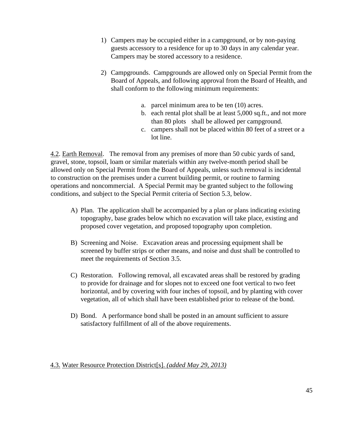- 1) Campers may be occupied either in a campground, or by non-paying guests accessory to a residence for up to 30 days in any calendar year. Campers may be stored accessory to a residence.
- 2) Campgrounds. Campgrounds are allowed only on Special Permit from the Board of Appeals, and following approval from the Board of Health, and shall conform to the following minimum requirements:
	- a. parcel minimum area to be ten (10) acres.
	- b. each rental plot shall be at least 5,000 sq.ft., and not more than 80 plots shall be allowed per campground.
	- c. campers shall not be placed within 80 feet of a street or a lot line.

4.2. Earth Removal. The removal from any premises of more than 50 cubic yards of sand, gravel, stone, topsoil, loam or similar materials within any twelve-month period shall be allowed only on Special Permit from the Board of Appeals, unless such removal is incidental to construction on the premises under a current building permit, or routine to farming operations and noncommercial. A Special Permit may be granted subject to the following conditions, and subject to the Special Permit criteria of Section 5.3, below.

- A) Plan. The application shall be accompanied by a plan or plans indicating existing topography, base grades below which no excavation will take place, existing and proposed cover vegetation, and proposed topography upon completion.
- B) Screening and Noise. Excavation areas and processing equipment shall be screened by buffer strips or other means, and noise and dust shall be controlled to meet the requirements of Section 3.5.
- C) Restoration. Following removal, all excavated areas shall be restored by grading to provide for drainage and for slopes not to exceed one foot vertical to two feet horizontal, and by covering with four inches of topsoil, and by planting with cover vegetation, all of which shall have been established prior to release of the bond.
- D) Bond. A performance bond shall be posted in an amount sufficient to assure satisfactory fulfillment of all of the above requirements.

## 4.3. Water Resource Protection District[s]. *(added May 29, 2013)*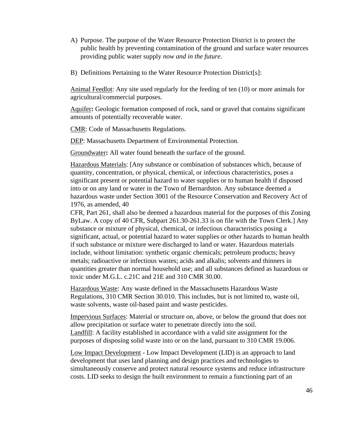- A) Purpose. The purpose of the Water Resource Protection District is to protect the public health by preventing contamination of the ground and surface water resources providing public water supply *now and in the future*.
- B) Definitions Pertaining to the Water Resource Protection District[s]:

Animal Feedlot: Any site used regularly for the feeding of ten (10) or more animals for agricultural/commercial purposes.

Aquifer**:** Geologic formation composed of rock, sand or gravel that contains significant amounts of potentially recoverable water.

CMR: Code of Massachusetts Regulations.

DEP: Massachusetts Department of Environmental Protection.

Groundwater**:** All water found beneath the surface of the ground.

Hazardous Materials: [Any substance or combination of substances which, because of quantity, concentration, or physical, chemical, or infectious characteristics, poses a significant present or potential hazard to water supplies or to human health if disposed into or on any land or water in the Town of Bernardston. Any substance deemed a hazardous waste under Section 3001 of the Resource Conservation and Recovery Act of 1976, as amended, 40

CFR, Part 261, shall also be deemed a hazardous material for the purposes of this Zoning ByLaw. A copy of 40 CFR, Subpart 261.30-261.33 is on file with the Town Clerk.] Any substance or mixture of physical, chemical, or infectious characteristics posing a significant, actual, or potential hazard to water supplies or other hazards to human health if such substance or mixture were discharged to land or water. Hazardous materials include, without limitation: synthetic organic chemicals; petroleum products; heavy metals; radioactive or infectious wastes; acids and alkalis; solvents and thinners in quantities greater than normal household use; and all substances defined as hazardous or toxic under M.G.L. c.21C and 21E and 310 CMR 30.00.

Hazardous Waste: Any waste defined in the Massachusetts Hazardous Waste Regulations, 310 CMR Section 30.010. This includes, but is not limited to, waste oil, waste solvents, waste oil-based paint and waste pesticides.

Impervious Surfaces: Material or structure on, above, or below the ground that does not allow precipitation or surface water to penetrate directly into the soil. Landfill: A facility established in accordance with a valid site assignment for the purposes of disposing solid waste into or on the land, pursuant to 310 CMR 19.006.

Low Impact Development - Low Impact Development (LID) is an approach to land development that uses land planning and design practices and technologies to simultaneously conserve and protect natural resource systems and reduce infrastructure costs. LID seeks to design the built environment to remain a functioning part of an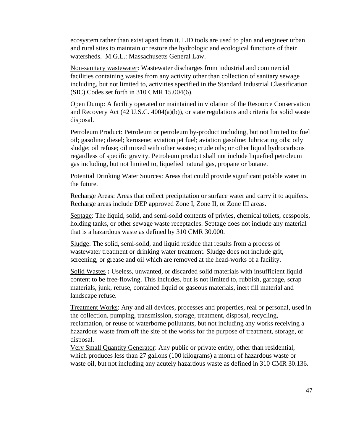ecosystem rather than exist apart from it. LID tools are used to plan and engineer urban and rural sites to maintain or restore the hydrologic and ecological functions of their watersheds. M.G.L.: Massachusetts General Law.

Non-sanitary wastewater: Wastewater discharges from industrial and commercial facilities containing wastes from any activity other than collection of sanitary sewage including, but not limited to, activities specified in the Standard Industrial Classification (SIC) Codes set forth in 310 CMR 15.004(6).

Open Dump: A facility operated or maintained in violation of the Resource Conservation and Recovery Act (42 U.S.C. 4004(a)(b)), or state regulations and criteria for solid waste disposal.

Petroleum Product: Petroleum or petroleum by-product including, but not limited to: fuel oil; gasoline; diesel; kerosene; aviation jet fuel; aviation gasoline; lubricating oils; oily sludge; oil refuse; oil mixed with other wastes; crude oils; or other liquid hydrocarbons regardless of specific gravity. Petroleum product shall not include liquefied petroleum gas including, but not limited to, liquefied natural gas, propane or butane.

Potential Drinking Water Sources: Areas that could provide significant potable water in the future.

Recharge Areas: Areas that collect precipitation or surface water and carry it to aquifers. Recharge areas include DEP approved Zone I, Zone II, or Zone III areas.

Septage: The liquid, solid, and semi-solid contents of privies, chemical toilets, cesspools, holding tanks, or other sewage waste receptacles. Septage does not include any material that is a hazardous waste as defined by 310 CMR 30.000.

Sludge: The solid, semi-solid, and liquid residue that results from a process of wastewater treatment or drinking water treatment. Sludge does not include grit, screening, or grease and oil which are removed at the head-works of a facility.

Solid Wastes **:** Useless, unwanted, or discarded solid materials with insufficient liquid content to be free-flowing. This includes, but is not limited to, rubbish, garbage, scrap materials, junk, refuse, contained liquid or gaseous materials, inert fill material and landscape refuse.

Treatment Works: Any and all devices, processes and properties, real or personal, used in the collection, pumping, transmission, storage, treatment, disposal, recycling, reclamation, or reuse of waterborne pollutants, but not including any works receiving a hazardous waste from off the site of the works for the purpose of treatment, storage, or disposal.

Very Small Quantity Generator: Any public or private entity, other than residential, which produces less than 27 gallons (100 kilograms) a month of hazardous waste or waste oil, but not including any acutely hazardous waste as defined in 310 CMR 30.136.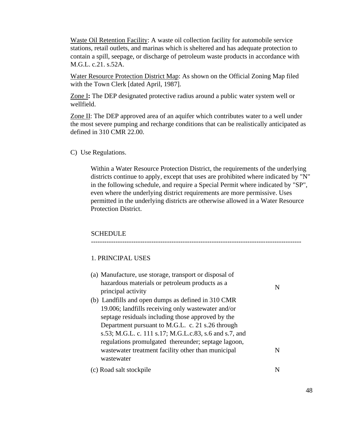Waste Oil Retention Facility: A waste oil collection facility for automobile service stations, retail outlets, and marinas which is sheltered and has adequate protection to contain a spill, seepage, or discharge of petroleum waste products in accordance with M.G.L. c.21. s.52A.

Water Resource Protection District Map: As shown on the Official Zoning Map filed with the Town Clerk [dated April, 1987].

Zone I**:** The DEP designated protective radius around a public water system well or wellfield.

Zone II: The DEP approved area of an aquifer which contributes water to a well under the most severe pumping and recharge conditions that can be realistically anticipated as defined in 310 CMR 22.00.

#### C) Use Regulations.

Within a Water Resource Protection District, the requirements of the underlying districts continue to apply, except that uses are prohibited where indicated by "N" in the following schedule, and require a Special Permit where indicated by "SP", even where the underlying district requirements are more permissive. Uses permitted in the underlying districts are otherwise allowed in a Water Resource Protection District.

## **SCHEDULE**

### 1. PRINCIPAL USES

| (a) Manufacture, use storage, transport or disposal of |   |
|--------------------------------------------------------|---|
| hazardous materials or petroleum products as a         |   |
| principal activity                                     |   |
| (b) Landfills and open dumps as defined in 310 CMR     |   |
| 19.006; landfills receiving only wastewater and/or     |   |
| septage residuals including those approved by the      |   |
| Department pursuant to M.G.L. c. 21 s.26 through       |   |
| s.53; M.G.L. c. 111 s.17; M.G.L.c.83, s.6 and s.7, and |   |
| regulations promulgated thereunder; septage lagoon,    |   |
| was tewater treatment facility other than municipal    | N |
| wastewater                                             |   |
| (c) Road salt stockpile                                |   |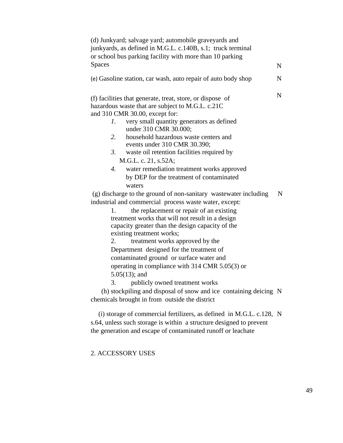| (d) Junkyard; salvage yard; automobile graveyards and<br>junkyards, as defined in M.G.L. c.140B, s.1; truck terminal<br>or school bus parking facility with more than 10 parking                                                                                                                                                                                                                                                                                                                     |             |
|------------------------------------------------------------------------------------------------------------------------------------------------------------------------------------------------------------------------------------------------------------------------------------------------------------------------------------------------------------------------------------------------------------------------------------------------------------------------------------------------------|-------------|
| <b>Spaces</b>                                                                                                                                                                                                                                                                                                                                                                                                                                                                                        | $\mathbf N$ |
| (e) Gasoline station, car wash, auto repair of auto body shop                                                                                                                                                                                                                                                                                                                                                                                                                                        | $\mathbf N$ |
| (f) facilities that generate, treat, store, or dispose of<br>hazardous waste that are subject to M.G.L. c.21C<br>and 310 CMR 30.00, except for:<br>very small quantity generators as defined<br>1.<br>under 310 CMR 30.000;<br>2.<br>household hazardous waste centers and<br>events under 310 CMR 30.390;<br>3.<br>waste oil retention facilities required by<br>M.G.L. c. 21, s.52A;<br>water remediation treatment works approved<br>$\overline{4}$ .<br>by DEP for the treatment of contaminated | $\mathbf N$ |
| waters<br>(g) discharge to the ground of non-sanitary wastewater including                                                                                                                                                                                                                                                                                                                                                                                                                           | $\mathbf N$ |
| industrial and commercial process waste water, except:                                                                                                                                                                                                                                                                                                                                                                                                                                               |             |
| the replacement or repair of an existing<br>1.                                                                                                                                                                                                                                                                                                                                                                                                                                                       |             |
| treatment works that will not result in a design                                                                                                                                                                                                                                                                                                                                                                                                                                                     |             |
| capacity greater than the design capacity of the                                                                                                                                                                                                                                                                                                                                                                                                                                                     |             |
| existing treatment works;                                                                                                                                                                                                                                                                                                                                                                                                                                                                            |             |
| treatment works approved by the<br>2.                                                                                                                                                                                                                                                                                                                                                                                                                                                                |             |
| Department designed for the treatment of                                                                                                                                                                                                                                                                                                                                                                                                                                                             |             |
| contaminated ground or surface water and                                                                                                                                                                                                                                                                                                                                                                                                                                                             |             |
| operating in compliance with 314 CMR 5.05(3) or                                                                                                                                                                                                                                                                                                                                                                                                                                                      |             |
| $5.05(13)$ ; and                                                                                                                                                                                                                                                                                                                                                                                                                                                                                     |             |
| 3.<br>publicly owned treatment works                                                                                                                                                                                                                                                                                                                                                                                                                                                                 |             |
| (h) stockpiling and disposal of snow and ice containing deicing N                                                                                                                                                                                                                                                                                                                                                                                                                                    |             |
| chemicals brought in from outside the district                                                                                                                                                                                                                                                                                                                                                                                                                                                       |             |
| (i) storage of commercial fertilizers, as defined in M.G.L. c.128, N                                                                                                                                                                                                                                                                                                                                                                                                                                 |             |

s.64, unless such storage is within a structure designed to prevent the generation and escape of contaminated runoff or leachate

2. ACCESSORY USES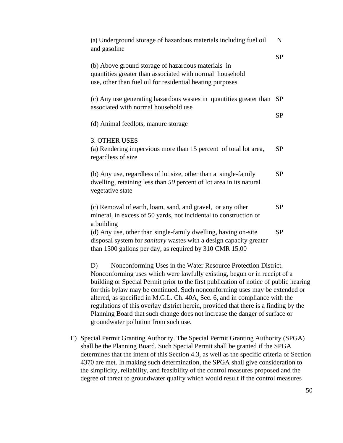| (a) Underground storage of hazardous materials including fuel oil<br>and gasoline                                                                                                                      |           |  |
|--------------------------------------------------------------------------------------------------------------------------------------------------------------------------------------------------------|-----------|--|
|                                                                                                                                                                                                        | <b>SP</b> |  |
| (b) Above ground storage of hazardous materials in<br>quantities greater than associated with normal household<br>use, other than fuel oil for residential heating purposes                            |           |  |
| (c) Any use generating hazardous wastes in quantities greater than<br>associated with normal household use                                                                                             |           |  |
| (d) Animal feedlots, manure storage                                                                                                                                                                    |           |  |
| <b>3. OTHER USES</b><br>(a) Rendering impervious more than 15 percent of total lot area,<br>regardless of size                                                                                         | <b>SP</b> |  |
| (b) Any use, regardless of lot size, other than a single-family<br>dwelling, retaining less than 50 percent of lot area in its natural<br>vegetative state                                             | <b>SP</b> |  |
| (c) Removal of earth, loam, sand, and gravel, or any other<br>mineral, in excess of 50 yards, not incidental to construction of<br>a building                                                          | <b>SP</b> |  |
| (d) Any use, other than single-family dwelling, having on-site<br>disposal system for <i>sanitary</i> wastes with a design capacity greater<br>than 1500 gallons per day, as required by 310 CMR 15.00 | <b>SP</b> |  |
| Nonconforming Uses in the Water Resource Protection District.<br>D)<br>Nonconforming uses which were lewfully existing begun or in receipt of                                                          |           |  |

Nonconforming uses which were lawfully existing, begun or in receipt of a building or Special Permit prior to the first publication of notice of public hearing for this bylaw may be continued. Such nonconforming uses may be extended or altered, as specified in M.G.L. Ch. 40A, Sec. 6, and in compliance with the regulations of this overlay district herein, provided that there is a finding by the Planning Board that such change does not increase the danger of surface or groundwater pollution from such use.

E) Special Permit Granting Authority. The Special Permit Granting Authority (SPGA) shall be the Planning Board. Such Special Permit shall be granted if the SPGA determines that the intent of this Section 4.3, as well as the specific criteria of Section 4370 are met. In making such determination, the SPGA shall give consideration to the simplicity, reliability, and feasibility of the control measures proposed and the degree of threat to groundwater quality which would result if the control measures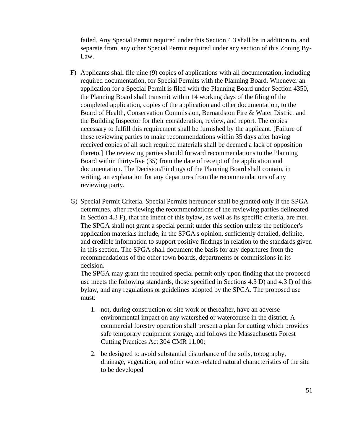failed. Any Special Permit required under this Section 4.3 shall be in addition to, and separate from, any other Special Permit required under any section of this Zoning By-Law.

- F) Applicants shall file nine (9) copies of applications with all documentation, including required documentation, for Special Permits with the Planning Board. Whenever an application for a Special Permit is filed with the Planning Board under Section 4350, the Planning Board shall transmit within 14 working days of the filing of the completed application, copies of the application and other documentation, to the Board of Health, Conservation Commission, Bernardston Fire & Water District and the Building Inspector for their consideration, review, and report. The copies necessary to fulfill this requirement shall be furnished by the applicant. [Failure of these reviewing parties to make recommendations within 35 days after having received copies of all such required materials shall be deemed a lack of opposition thereto.] The reviewing parties should forward recommendations to the Planning Board within thirty-five (35) from the date of receipt of the application and documentation. The Decision/Findings of the Planning Board shall contain, in writing, an explanation for any departures from the recommendations of any reviewing party.
- G) Special Permit Criteria. Special Permits hereunder shall be granted only if the SPGA determines, after reviewing the recommendations of the reviewing parties delineated in Section 4.3 F), that the intent of this bylaw, as well as its specific criteria, are met. The SPGA shall not grant a special permit under this section unless the petitioner's application materials include, in the SPGA's opinion, sufficiently detailed, definite, and credible information to support positive findings in relation to the standards given in this section. The SPGA shall document the basis for any departures from the recommendations of the other town boards, departments or commissions in its decision.

The SPGA may grant the required special permit only upon finding that the proposed use meets the following standards, those specified in Sections 4.3 D) and 4.3 I) of this bylaw, and any regulations or guidelines adopted by the SPGA. The proposed use must:

- 1. not, during construction or site work or thereafter, have an adverse environmental impact on any watershed or watercourse in the district. A commercial forestry operation shall present a plan for cutting which provides safe temporary equipment storage, and follows the Massachusetts Forest Cutting Practices Act 304 CMR 11.00;
- 2. be designed to avoid substantial disturbance of the soils, topography, drainage, vegetation, and other water-related natural characteristics of the site to be developed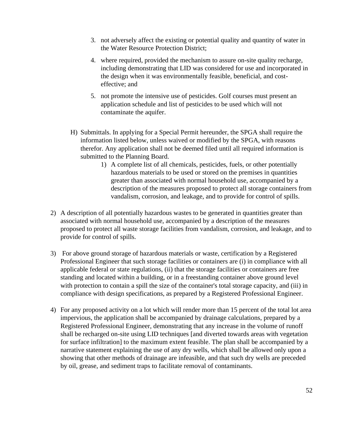- 3. not adversely affect the existing or potential quality and quantity of water in the Water Resource Protection District;
- 4. where required, provided the mechanism to assure on-site quality recharge, including demonstrating that LID was considered for use and incorporated in the design when it was environmentally feasible, beneficial, and costeffective; and
- 5. not promote the intensive use of pesticides. Golf courses must present an application schedule and list of pesticides to be used which will not contaminate the aquifer.
- H) Submittals. In applying for a Special Permit hereunder, the SPGA shall require the information listed below, unless waived or modified by the SPGA, with reasons therefor. Any application shall not be deemed filed until all required information is submitted to the Planning Board.
	- 1) A complete list of all chemicals, pesticides, fuels, or other potentially hazardous materials to be used or stored on the premises in quantities greater than associated with normal household use, accompanied by a description of the measures proposed to protect all storage containers from vandalism, corrosion, and leakage, and to provide for control of spills.
- 2) A description of all potentially hazardous wastes to be generated in quantities greater than associated with normal household use, accompanied by a description of the measures proposed to protect all waste storage facilities from vandalism, corrosion, and leakage, and to provide for control of spills.
- 3) For above ground storage of hazardous materials or waste, certification by a Registered Professional Engineer that such storage facilities or containers are (i) in compliance with all applicable federal or state regulations, (ii) that the storage facilities or containers are free standing and located within a building, or in a freestanding container above ground level with protection to contain a spill the size of the container's total storage capacity, and (iii) in compliance with design specifications, as prepared by a Registered Professional Engineer.
- 4) For any proposed activity on a lot which will render more than 15 percent of the total lot area impervious, the application shall be accompanied by drainage calculations, prepared by a Registered Professional Engineer, demonstrating that any increase in the volume of runoff shall be recharged on-site using LID techniques [and diverted towards areas with vegetation for surface infiltration] to the maximum extent feasible. The plan shall be accompanied by a narrative statement explaining the use of any dry wells, which shall be allowed only upon a showing that other methods of drainage are infeasible, and that such dry wells are preceded by oil, grease, and sediment traps to facilitate removal of contaminants.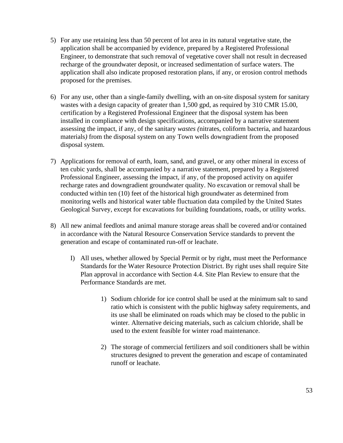- 5) For any use retaining less than 50 percent of lot area in its natural vegetative state, the application shall be accompanied by evidence, prepared by a Registered Professional Engineer, to demonstrate that such removal of vegetative cover shall not result in decreased recharge of the groundwater deposit, or increased sedimentation of surface waters. The application shall also indicate proposed restoration plans, if any, or erosion control methods proposed for the premises.
- 6) For any use, other than a single-family dwelling, with an on-site disposal system for sanitary wastes with a design capacity of greater than 1,500 gpd, as required by 310 CMR 15.00, certification by a Registered Professional Engineer that the disposal system has been installed in compliance with design specifications, accompanied by a narrative statement assessing the impact, if any, of the sanitary *wastes (*nitrates, coliform bacteria, and hazardous materials*)* from the disposal system on any Town wells downgradient from the proposed disposal system.
- 7) Applications for removal of earth, loam, sand, and gravel, or any other mineral in excess of ten cubic yards, shall be accompanied by a narrative statement, prepared by a Registered Professional Engineer, assessing the impact, if any, of the proposed activity on aquifer recharge rates and downgradient groundwater quality. No excavation or removal shall be conducted within ten (10) feet of the historical high groundwater as determined from monitoring wells and historical water table fluctuation data compiled by the United States Geological Survey, except for excavations for building foundations, roads, or utility works.
- 8) All new animal feedlots and animal manure storage areas shall be covered and/or contained in accordance with the Natural Resource Conservation Service standards to prevent the generation and escape of contaminated run-off or leachate.
	- I) All uses, whether allowed by Special Permit or by right, must meet the Performance Standards for the Water Resource Protection District. By right uses shall require Site Plan approval in accordance with Section 4.4. Site Plan Review to ensure that the Performance Standards are met.
		- 1) Sodium chloride for ice control shall be used at the minimum salt to sand ratio which is consistent with the public highway safety requirements, and its use shall be eliminated on roads which may be closed to the public in winter. Alternative deicing materials, such as calcium chloride, shall be used to the extent feasible for winter road maintenance.
		- 2) The storage of commercial fertilizers and soil conditioners shall be within structures designed to prevent the generation and escape of contaminated runoff or leachate.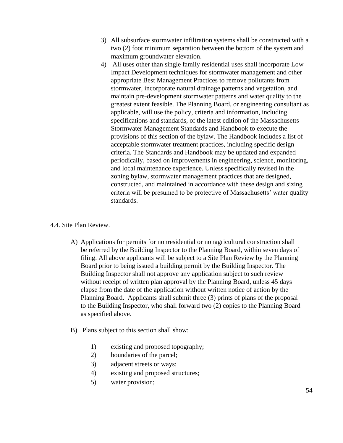- 3) All subsurface stormwater infiltration systems shall be constructed with a two (2) foot minimum separation between the bottom of the system and maximum groundwater elevation.
- 4) All uses other than single family residential uses shall incorporate Low Impact Development techniques for stormwater management and other appropriate Best Management Practices to remove pollutants from stormwater, incorporate natural drainage patterns and vegetation, and maintain pre-development stormwater patterns and water quality to the greatest extent feasible. The Planning Board, or engineering consultant as applicable, will use the policy, criteria and information, including specifications and standards, of the latest edition of the Massachusetts Stormwater Management Standards and Handbook to execute the provisions of this section of the bylaw. The Handbook includes a list of acceptable stormwater treatment practices, including specific design criteria. The Standards and Handbook may be updated and expanded periodically, based on improvements in engineering, science, monitoring, and local maintenance experience. Unless specifically revised in the zoning bylaw, stormwater management practices that are designed, constructed, and maintained in accordance with these design and sizing criteria will be presumed to be protective of Massachusetts' water quality standards.

## 4.4. Site Plan Review.

- A) Applications for permits for nonresidential or nonagricultural construction shall be referred by the Building Inspector to the Planning Board, within seven days of filing. All above applicants will be subject to a Site Plan Review by the Planning Board prior to being issued a building permit by the Building Inspector. The Building Inspector shall not approve any application subject to such review without receipt of written plan approval by the Planning Board, unless 45 days elapse from the date of the application without written notice of action by the Planning Board. Applicants shall submit three (3) prints of plans of the proposal to the Building Inspector, who shall forward two (2) copies to the Planning Board as specified above.
- B) Plans subject to this section shall show:
	- 1) existing and proposed topography;
	- 2) boundaries of the parcel;
	- 3) adjacent streets or ways;
	- 4) existing and proposed structures;
	- 5) water provision;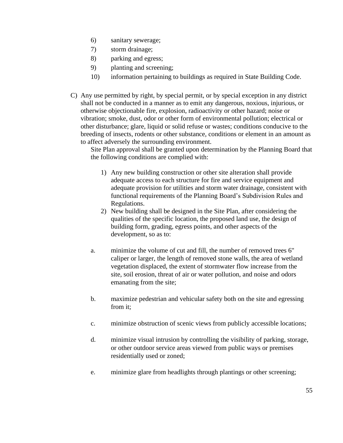- 6) sanitary sewerage;
- 7) storm drainage;
- 8) parking and egress;
- 9) planting and screening;
- 10) information pertaining to buildings as required in State Building Code.
- C) Any use permitted by right, by special permit, or by special exception in any district shall not be conducted in a manner as to emit any dangerous, noxious, injurious, or otherwise objectionable fire, explosion, radioactivity or other hazard; noise or vibration; smoke, dust, odor or other form of environmental pollution; electrical or other disturbance; glare, liquid or solid refuse or wastes; conditions conducive to the breeding of insects, rodents or other substance, conditions or element in an amount as to affect adversely the surrounding environment.

Site Plan approval shall be granted upon determination by the Planning Board that the following conditions are complied with:

- 1) Any new building construction or other site alteration shall provide adequate access to each structure for fire and service equipment and adequate provision for utilities and storm water drainage, consistent with functional requirements of the Planning Board's Subdivision Rules and Regulations.
- 2) New building shall be designed in the Site Plan, after considering the qualities of the specific location, the proposed land use, the design of building form, grading, egress points, and other aspects of the development, so as to:
- a. minimize the volume of cut and fill, the number of removed trees 6" caliper or larger, the length of removed stone walls, the area of wetland vegetation displaced, the extent of stormwater flow increase from the site, soil erosion, threat of air or water pollution, and noise and odors emanating from the site;
- b. maximize pedestrian and vehicular safety both on the site and egressing from it;
- c. minimize obstruction of scenic views from publicly accessible locations;
- d. minimize visual intrusion by controlling the visibility of parking, storage, or other outdoor service areas viewed from public ways or premises residentially used or zoned;
- e. minimize glare from headlights through plantings or other screening;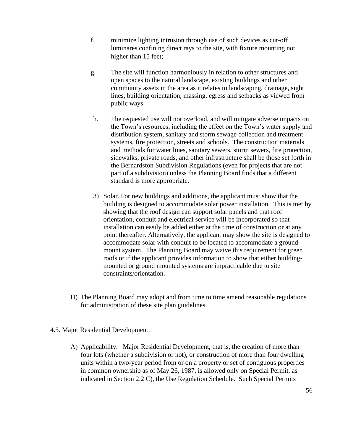- f. minimize lighting intrusion through use of such devices as cut-off luminares confining direct rays to the site, with fixture mounting not higher than 15 feet;
- g. The site will function harmoniously in relation to other structures and open spaces to the natural landscape, existing buildings and other community assets in the area as it relates to landscaping, drainage, sight lines, building orientation, massing, egress and setbacks as viewed from public ways.
- h. The requested use will not overload, and will mitigate adverse impacts on the Town's resources, including the effect on the Town's water supply and distribution system, sanitary and storm sewage collection and treatment systems, fire protection, streets and schools. The construction materials and methods for water lines, sanitary sewers, storm sewers, fire protection, sidewalks, private roads, and other infrastructure shall be those set forth in the Bernardston Subdivision Regulations (even for projects that are not part of a subdivision) unless the Planning Board finds that a different standard is more appropriate.
- 3) Solar. For new buildings and additions, the applicant must show that the building is designed to accommodate solar power installation. This is met by showing that the roof design can support solar panels and that roof orientation, conduit and electrical service will be incorporated so that installation can easily be added either at the time of construction or at any point thereafter. Alternatively, the applicant may show the site is designed to accommodate solar with conduit to be located to accommodate a ground mount system. The Planning Board may waive this requirement for green roofs or if the applicant provides information to show that either buildingmounted or ground mounted systems are impracticable due to site constraints/orientation.
- D) The Planning Board may adopt and from time to time amend reasonable regulations for administration of these site plan guidelines.

# 4.5. Major Residential Development.

A) Applicability. Major Residential Development, that is, the creation of more than four lots (whether a subdivision or not), or construction of more than four dwelling units within a two-year period from or on a property or set of contiguous properties in common ownership as of May 26, 1987, is allowed only on Special Permit, as indicated in Section 2.2 C), the Use Regulation Schedule. Such Special Permits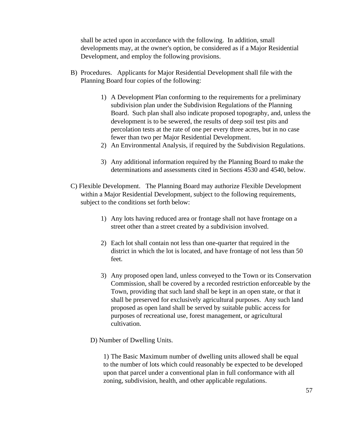shall be acted upon in accordance with the following. In addition, small developments may, at the owner's option, be considered as if a Major Residential Development, and employ the following provisions.

- B) Procedures. Applicants for Major Residential Development shall file with the Planning Board four copies of the following:
	- 1) A Development Plan conforming to the requirements for a preliminary subdivision plan under the Subdivision Regulations of the Planning Board. Such plan shall also indicate proposed topography, and, unless the development is to be sewered, the results of deep soil test pits and percolation tests at the rate of one per every three acres, but in no case fewer than two per Major Residential Development.
	- 2) An Environmental Analysis, if required by the Subdivision Regulations.
	- 3) Any additional information required by the Planning Board to make the determinations and assessments cited in Sections 4530 and 4540, below.
- C) Flexible Development. The Planning Board may authorize Flexible Development within a Major Residential Development, subject to the following requirements, subject to the conditions set forth below:
	- 1) Any lots having reduced area or frontage shall not have frontage on a street other than a street created by a subdivision involved.
	- 2) Each lot shall contain not less than one-quarter that required in the district in which the lot is located, and have frontage of not less than 50 feet.
	- 3) Any proposed open land, unless conveyed to the Town or its Conservation Commission, shall be covered by a recorded restriction enforceable by the Town, providing that such land shall be kept in an open state, or that it shall be preserved for exclusively agricultural purposes. Any such land proposed as open land shall be served by suitable public access for purposes of recreational use, forest management, or agricultural cultivation.
	- D) Number of Dwelling Units.

1) The Basic Maximum number of dwelling units allowed shall be equal to the number of lots which could reasonably be expected to be developed upon that parcel under a conventional plan in full conformance with all zoning, subdivision, health, and other applicable regulations.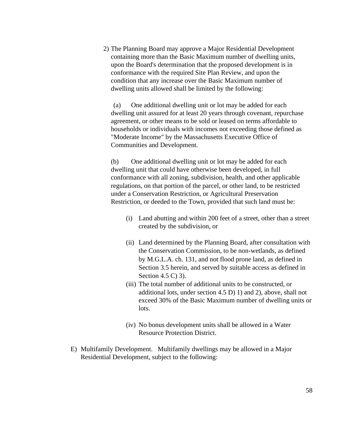2) The Planning Board may approve a Major Residential Development containing more than the Basic Maximum number of dwelling units, upon the Board's determination that the proposed development is in conformance with the required Site Plan Review, and upon the condition that any increase over the Basic Maximum number of dwelling units allowed shall be limited by the following:

(a) One additional dwelling unit or lot may be added for each dwelling unit assured for at least 20 years through covenant, repurchase agreement, or other means to be sold or leased on terms affordable to households or individuals with incomes not exceeding those defined as "Moderate Income" by the Massachusetts Executive Office of Communities and Development.

(b) One additional dwelling unit or lot may be added for each dwelling unit that could have otherwise been developed, in full conformance with all zoning, subdivision, health, and other applicable regulations, on that portion of the parcel, or other land, to be restricted under a Conservation Restriction, or Agricultural Preservation Restriction, or deeded to the Town, provided that such land must be:

- (i) Land abutting and within 200 feet of a street, other than a street created by the subdivision, or
- (ii) Land determined by the Planning Board, after consultation with the Conservation Commission, to be non-wetlands, as defined by M.G.L.A. ch. 131, and not flood prone land, as defined in Section 3.5 herein, and served by suitable access as defined in Section 4.5 C) 3).
- (iii) The total number of additional units to be constructed, or additional lots, under section 4.5 D) 1) and 2), above, shall not exceed 30% of the Basic Maximum number of dwelling units or lots.
- (iv) No bonus development units shall be allowed in a Water Resource Protection District.
- E) Multifamily Development. Multifamily dwellings may be allowed in a Major Residential Development, subject to the following: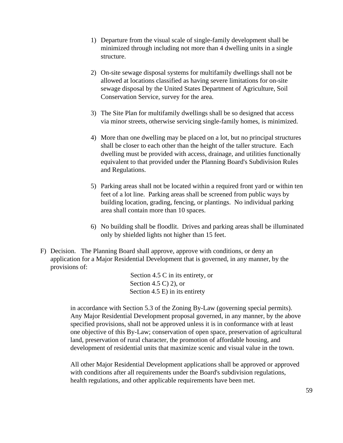- 1) Departure from the visual scale of single-family development shall be minimized through including not more than 4 dwelling units in a single structure.
- 2) On-site sewage disposal systems for multifamily dwellings shall not be allowed at locations classified as having severe limitations for on-site sewage disposal by the United States Department of Agriculture, Soil Conservation Service, survey for the area.
- 3) The Site Plan for multifamily dwellings shall be so designed that access via minor streets, otherwise servicing single-family homes, is minimized.
- 4) More than one dwelling may be placed on a lot, but no principal structures shall be closer to each other than the height of the taller structure. Each dwelling must be provided with access, drainage, and utilities functionally equivalent to that provided under the Planning Board's Subdivision Rules and Regulations.
- 5) Parking areas shall not be located within a required front yard or within ten feet of a lot line. Parking areas shall be screened from public ways by building location, grading, fencing, or plantings. No individual parking area shall contain more than 10 spaces.
- 6) No building shall be floodlit. Drives and parking areas shall be illuminated only by shielded lights not higher than 15 feet.
- F) Decision. The Planning Board shall approve, approve with conditions, or deny an application for a Major Residential Development that is governed, in any manner, by the provisions of:

Section 4.5 C in its entirety, or Section 4.5 C) 2), or Section 4.5 E) in its entirety

in accordance with Section 5.3 of the Zoning By-Law (governing special permits). Any Major Residential Development proposal governed, in any manner, by the above specified provisions, shall not be approved unless it is in conformance with at least one objective of this By-Law; conservation of open space, preservation of agricultural land, preservation of rural character, the promotion of affordable housing, and development of residential units that maximize scenic and visual value in the town.

All other Major Residential Development applications shall be approved or approved with conditions after all requirements under the Board's subdivision regulations, health regulations, and other applicable requirements have been met.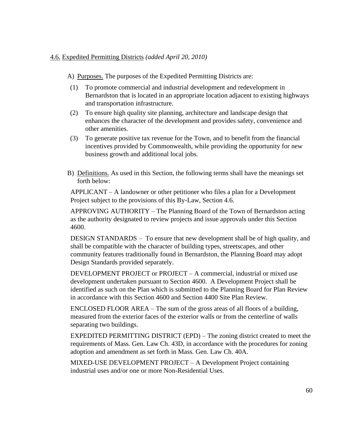# 4.6. Expedited Permitting Districts *(added April 20, 2010)*

- A) Purposes. The purposes of the Expedited Permitting Districts are:
- (1) To promote commercial and industrial development and redevelopment in Bernardston that is located in an appropriate location adjacent to existing highways and transportation infrastructure.
- (2) To ensure high quality site planning, architecture and landscape design that enhances the character of the development and provides safety, convenience and other amenities.
- (3) To generate positive tax revenue for the Town, and to benefit from the financial incentives provided by Commonwealth, while providing the opportunity for new business growth and additional local jobs.
- B) Definitions. As used in this Section, the following terms shall have the meanings set forth below:

APPLICANT – A landowner or other petitioner who files a plan for a Development Project subject to the provisions of this By-Law, Section 4.6.

APPROVING AUTHORITY – The Planning Board of the Town of Bernardston acting as the authority designated to review projects and issue approvals under this Section 4600.

DESIGN STANDARDS – To ensure that new development shall be of high quality, and shall be compatible with the character of building types, streetscapes, and other community features traditionally found in Bernardston, the Planning Board may adopt Design Standards provided separately.

DEVELOPMENT PROJECT or PROJECT – A commercial, industrial or mixed use development undertaken pursuant to Section 4600. A Development Project shall be identified as such on the Plan which is submitted to the Planning Board for Plan Review in accordance with this Section 4600 and Section 4400 Site Plan Review.

ENCLOSED FLOOR AREA – The sum of the gross areas of all floors of a building, measured from the exterior faces of the exterior walls or from the centerline of walls separating two buildings.

EXPEDITED PERMITTING DISTRICT (EPD) – The zoning district created to meet the requirements of Mass. Gen. Law Ch. 43D, in accordance with the procedures for zoning adoption and amendment as set forth in Mass. Gen. Law Ch. 40A.

MIXED-USE DEVELOPMENT PROJECT – A Development Project containing industrial uses and/or one or more Non-Residential Uses.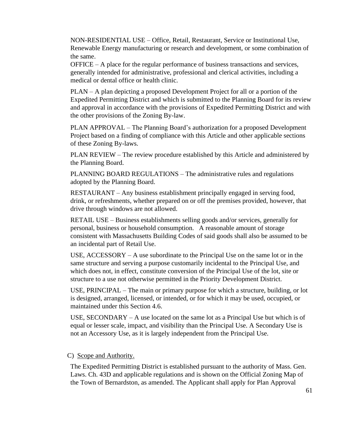NON-RESIDENTIAL USE – Office, Retail, Restaurant, Service or Institutional Use, Renewable Energy manufacturing or research and development, or some combination of the same.

OFFICE – A place for the regular performance of business transactions and services, generally intended for administrative, professional and clerical activities, including a medical or dental office or health clinic.

PLAN – A plan depicting a proposed Development Project for all or a portion of the Expedited Permitting District and which is submitted to the Planning Board for its review and approval in accordance with the provisions of Expedited Permitting District and with the other provisions of the Zoning By-law.

PLAN APPROVAL – The Planning Board's authorization for a proposed Development Project based on a finding of compliance with this Article and other applicable sections of these Zoning By-laws.

PLAN REVIEW – The review procedure established by this Article and administered by the Planning Board.

PLANNING BOARD REGULATIONS – The administrative rules and regulations adopted by the Planning Board.

RESTAURANT – Any business establishment principally engaged in serving food, drink, or refreshments, whether prepared on or off the premises provided, however, that drive through windows are not allowed.

RETAIL USE – Business establishments selling goods and/or services, generally for personal, business or household consumption. A reasonable amount of storage consistent with Massachusetts Building Codes of said goods shall also be assumed to be an incidental part of Retail Use.

USE, ACCESSORY – A use subordinate to the Principal Use on the same lot or in the same structure and serving a purpose customarily incidental to the Principal Use, and which does not, in effect, constitute conversion of the Principal Use of the lot, site or structure to a use not otherwise permitted in the Priority Development District.

USE, PRINCIPAL – The main or primary purpose for which a structure, building, or lot is designed, arranged, licensed, or intended, or for which it may be used, occupied, or maintained under this Section 4.6.

USE, SECONDARY – A use located on the same lot as a Principal Use but which is of equal or lesser scale, impact, and visibility than the Principal Use. A Secondary Use is not an Accessory Use, as it is largely independent from the Principal Use.

## C) Scope and Authority.

The Expedited Permitting District is established pursuant to the authority of Mass. Gen. Laws. Ch. 43D and applicable regulations and is shown on the Official Zoning Map of the Town of Bernardston, as amended. The Applicant shall apply for Plan Approval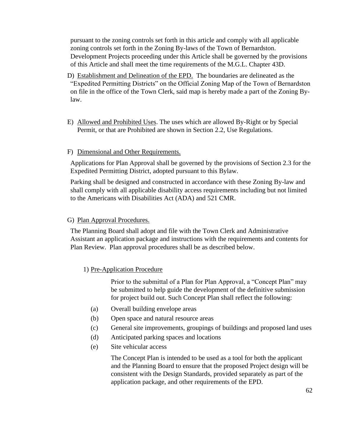pursuant to the zoning controls set forth in this article and comply with all applicable zoning controls set forth in the Zoning By-laws of the Town of Bernardston. Development Projects proceeding under this Article shall be governed by the provisions of this Article and shall meet the time requirements of the M.G.L. Chapter 43D.

- D) Establishment and Delineation of the EPD. The boundaries are delineated as the "Expedited Permitting Districts" on the Official Zoning Map of the Town of Bernardston on file in the office of the Town Clerk, said map is hereby made a part of the Zoning Bylaw.
- E) Allowed and Prohibited Uses. The uses which are allowed By-Right or by Special Permit, or that are Prohibited are shown in Section 2.2, Use Regulations.

## F) Dimensional and Other Requirements.

Applications for Plan Approval shall be governed by the provisions of Section 2.3 for the Expedited Permitting District, adopted pursuant to this Bylaw.

Parking shall be designed and constructed in accordance with these Zoning By-law and shall comply with all applicable disability access requirements including but not limited to the Americans with Disabilities Act (ADA) and 521 CMR.

## G) Plan Approval Procedures.

The Planning Board shall adopt and file with the Town Clerk and Administrative Assistant an application package and instructions with the requirements and contents for Plan Review. Plan approval procedures shall be as described below.

# 1) Pre-Application Procedure

Prior to the submittal of a Plan for Plan Approval, a "Concept Plan" may be submitted to help guide the development of the definitive submission for project build out. Such Concept Plan shall reflect the following:

- (a) Overall building envelope areas
- (b) Open space and natural resource areas
- (c) General site improvements, groupings of buildings and proposed land uses
- (d) Anticipated parking spaces and locations
- (e) Site vehicular access

The Concept Plan is intended to be used as a tool for both the applicant and the Planning Board to ensure that the proposed Project design will be consistent with the Design Standards, provided separately as part of the application package, and other requirements of the EPD.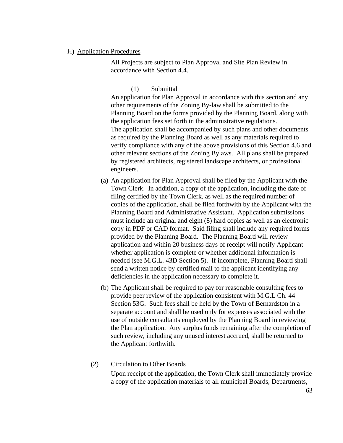#### H) Application Procedures

All Projects are subject to Plan Approval and Site Plan Review in accordance with Section 4.4.

### (1) Submittal

An application for Plan Approval in accordance with this section and any other requirements of the Zoning By-law shall be submitted to the Planning Board on the forms provided by the Planning Board, along with the application fees set forth in the administrative regulations. The application shall be accompanied by such plans and other documents as required by the Planning Board as well as any materials required to verify compliance with any of the above provisions of this Section 4.6 and other relevant sections of the Zoning Bylaws. All plans shall be prepared by registered architects, registered landscape architects, or professional engineers.

- (a) An application for Plan Approval shall be filed by the Applicant with the Town Clerk. In addition, a copy of the application, including the date of filing certified by the Town Clerk, as well as the required number of copies of the application, shall be filed forthwith by the Applicant with the Planning Board and Administrative Assistant. Application submissions must include an original and eight (8) hard copies as well as an electronic copy in PDF or CAD format. Said filing shall include any required forms provided by the Planning Board. The Planning Board will review application and within 20 business days of receipt will notify Applicant whether application is complete or whether additional information is needed (see M.G.L. 43D Section 5). If incomplete, Planning Board shall send a written notice by certified mail to the applicant identifying any deficiencies in the application necessary to complete it.
- (b) The Applicant shall be required to pay for reasonable consulting fees to provide peer review of the application consistent with M.G.L Ch. 44 Section 53G. Such fees shall be held by the Town of Bernardston in a separate account and shall be used only for expenses associated with the use of outside consultants employed by the Planning Board in reviewing the Plan application. Any surplus funds remaining after the completion of such review, including any unused interest accrued, shall be returned to the Applicant forthwith.

### (2) Circulation to Other Boards

Upon receipt of the application, the Town Clerk shall immediately provide a copy of the application materials to all municipal Boards, Departments,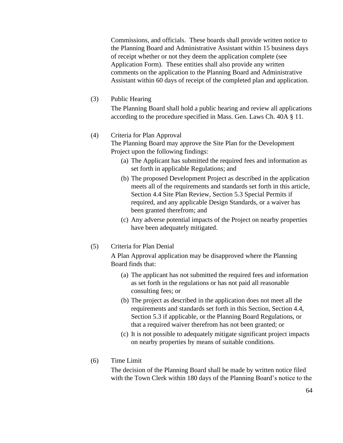Commissions, and officials. These boards shall provide written notice to the Planning Board and Administrative Assistant within 15 business days of receipt whether or not they deem the application complete (see Application Form). These entities shall also provide any written comments on the application to the Planning Board and Administrative Assistant within 60 days of receipt of the completed plan and application.

(3) Public Hearing

The Planning Board shall hold a public hearing and review all applications according to the procedure specified in Mass. Gen. Laws Ch. 40A § 11.

# (4) Criteria for Plan Approval

The Planning Board may approve the Site Plan for the Development Project upon the following findings:

- (a) The Applicant has submitted the required fees and information as set forth in applicable Regulations; and
- (b) The proposed Development Project as described in the application meets all of the requirements and standards set forth in this article, Section 4.4 Site Plan Review, Section 5.3 Special Permits if required, and any applicable Design Standards, or a waiver has been granted therefrom; and
- (c) Any adverse potential impacts of the Project on nearby properties have been adequately mitigated.
- (5) Criteria for Plan Denial

A Plan Approval application may be disapproved where the Planning Board finds that:

- (a) The applicant has not submitted the required fees and information as set forth in the regulations or has not paid all reasonable consulting fees; or
- (b) The project as described in the application does not meet all the requirements and standards set forth in this Section, Section 4.4, Section 5.3 if applicable, or the Planning Board Regulations, or that a required waiver therefrom has not been granted; or
- (c) It is not possible to adequately mitigate significant project impacts on nearby properties by means of suitable conditions.
- (6) Time Limit

The decision of the Planning Board shall be made by written notice filed with the Town Clerk within 180 days of the Planning Board's notice to the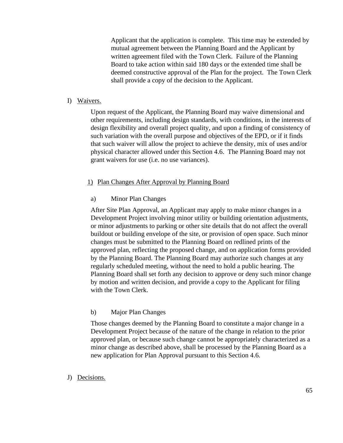Applicant that the application is complete. This time may be extended by mutual agreement between the Planning Board and the Applicant by written agreement filed with the Town Clerk. Failure of the Planning Board to take action within said 180 days or the extended time shall be deemed constructive approval of the Plan for the project. The Town Clerk shall provide a copy of the decision to the Applicant.

## I) Waivers.

Upon request of the Applicant, the Planning Board may waive dimensional and other requirements, including design standards, with conditions, in the interests of design flexibility and overall project quality, and upon a finding of consistency of such variation with the overall purpose and objectives of the EPD, or if it finds that such waiver will allow the project to achieve the density, mix of uses and/or physical character allowed under this Section 4.6. The Planning Board may not grant waivers for use (i.e. no use variances).

# 1) Plan Changes After Approval by Planning Board

# a) Minor Plan Changes

After Site Plan Approval, an Applicant may apply to make minor changes in a Development Project involving minor utility or building orientation adjustments, or minor adjustments to parking or other site details that do not affect the overall buildout or building envelope of the site, or provision of open space. Such minor changes must be submitted to the Planning Board on redlined prints of the approved plan, reflecting the proposed change, and on application forms provided by the Planning Board. The Planning Board may authorize such changes at any regularly scheduled meeting, without the need to hold a public hearing. The Planning Board shall set forth any decision to approve or deny such minor change by motion and written decision, and provide a copy to the Applicant for filing with the Town Clerk.

## b) Major Plan Changes

Those changes deemed by the Planning Board to constitute a major change in a Development Project because of the nature of the change in relation to the prior approved plan, or because such change cannot be appropriately characterized as a minor change as described above, shall be processed by the Planning Board as a new application for Plan Approval pursuant to this Section 4.6.

## J) Decisions.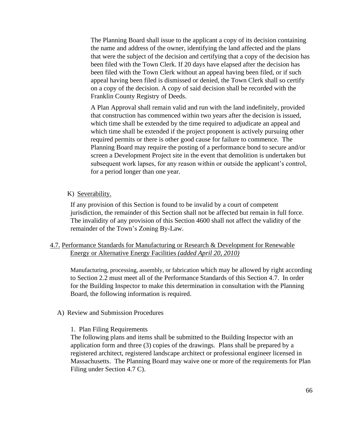The Planning Board shall issue to the applicant a copy of its decision containing the name and address of the owner, identifying the land affected and the plans that were the subject of the decision and certifying that a copy of the decision has been filed with the Town Clerk. If 20 days have elapsed after the decision has been filed with the Town Clerk without an appeal having been filed, or if such appeal having been filed is dismissed or denied, the Town Clerk shall so certify on a copy of the decision. A copy of said decision shall be recorded with the Franklin County Registry of Deeds.

A Plan Approval shall remain valid and run with the land indefinitely, provided that construction has commenced within two years after the decision is issued, which time shall be extended by the time required to adjudicate an appeal and which time shall be extended if the project proponent is actively pursuing other required permits or there is other good cause for failure to commence. The Planning Board may require the posting of a performance bond to secure and/or screen a Development Project site in the event that demolition is undertaken but subsequent work lapses, for any reason within or outside the applicant's control, for a period longer than one year.

## K) Severability.

If any provision of this Section is found to be invalid by a court of competent jurisdiction, the remainder of this Section shall not be affected but remain in full force. The invalidity of any provision of this Section 4600 shall not affect the validity of the remainder of the Town's Zoning By-Law.

## 4.7. Performance Standards for Manufacturing or Research & Development for Renewable Energy or Alternative Energy Facilities *(added April 20, 2010)*

Manufacturing, processing, assembly, or fabrication which may be allowed by right according to Section 2.2 must meet all of the Performance Standards of this Section 4.7. In order for the Building Inspector to make this determination in consultation with the Planning Board, the following information is required.

### A) Review and Submission Procedures

### 1. Plan Filing Requirements

The following plans and items shall be submitted to the Building Inspector with an application form and three (3) copies of the drawings. Plans shall be prepared by a registered architect, registered landscape architect or professional engineer licensed in Massachusetts. The Planning Board may waive one or more of the requirements for Plan Filing under Section 4.7 C).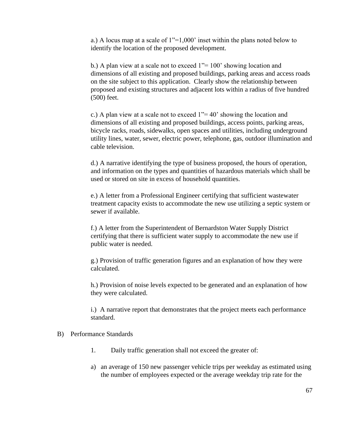a.) A locus map at a scale of 1"=1,000' inset within the plans noted below to identify the location of the proposed development.

b.) A plan view at a scale not to exceed  $1" = 100'$  showing location and dimensions of all existing and proposed buildings, parking areas and access roads on the site subject to this application. Clearly show the relationship between proposed and existing structures and adjacent lots within a radius of five hundred (500) feet.

c.) A plan view at a scale not to exceed  $1 = 40$ ' showing the location and dimensions of all existing and proposed buildings, access points, parking areas, bicycle racks, roads, sidewalks, open spaces and utilities, including underground utility lines, water, sewer, electric power, telephone, gas, outdoor illumination and cable television.

d.) A narrative identifying the type of business proposed, the hours of operation, and information on the types and quantities of hazardous materials which shall be used or stored on site in excess of household quantities.

e.) A letter from a Professional Engineer certifying that sufficient wastewater treatment capacity exists to accommodate the new use utilizing a septic system or sewer if available.

f.) A letter from the Superintendent of Bernardston Water Supply District certifying that there is sufficient water supply to accommodate the new use if public water is needed.

g.) Provision of traffic generation figures and an explanation of how they were calculated.

h.) Provision of noise levels expected to be generated and an explanation of how they were calculated.

i.) A narrative report that demonstrates that the project meets each performance standard.

### B) Performance Standards

- 1. Daily traffic generation shall not exceed the greater of:
- a) an average of 150 new passenger vehicle trips per weekday as estimated using the number of employees expected or the average weekday trip rate for the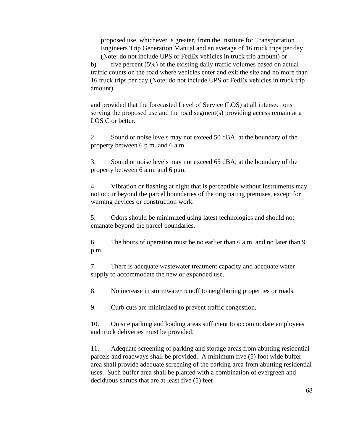proposed use, whichever is greater, from the Institute for Transportation Engineers Trip Generation Manual and an average of 16 truck trips per day (Note: do not include UPS or FedEx vehicles in truck trip amount) or

b) five percent (5%) of the existing daily traffic volumes based on actual traffic counts on the road where vehicles enter and exit the site and no more than 16 truck trips per day (Note: do not include UPS or FedEx vehicles in truck trip amount)

and provided that the forecasted Level of Service (LOS) at all intersections serving the proposed use and the road segment(s) providing access remain at a LOS C or better.

2. Sound or noise levels may not exceed 50 dBA, at the boundary of the property between 6 p.m. and 6 a.m.

3. Sound or noise levels may not exceed 65 dBA, at the boundary of the property between 6 a.m. and 6 p.m.

4. Vibration or flashing at night that is perceptible without instruments may not occur beyond the parcel boundaries of the originating premises, except for warning devices or construction work.

5. Odors should be minimized using latest technologies and should not emanate beyond the parcel boundaries.

6. The hours of operation must be no earlier than 6 a.m. and no later than 9 p.m.

7. There is adequate wastewater treatment capacity and adequate water supply to accommodate the new or expanded use.

8. No increase in stormwater runoff to neighboring properties or roads.

9. Curb cuts are minimized to prevent traffic congestion.

10. On site parking and loading areas sufficient to accommodate employees and truck deliveries must be provided.

11. Adequate screening of parking and storage areas from abutting residential parcels and roadways shall be provided. A minimum five (5) foot wide buffer area shall provide adequate screening of the parking area from abutting residential uses. Such buffer area shall be planted with a combination of evergreen and deciduous shrubs that are at least five (5) feet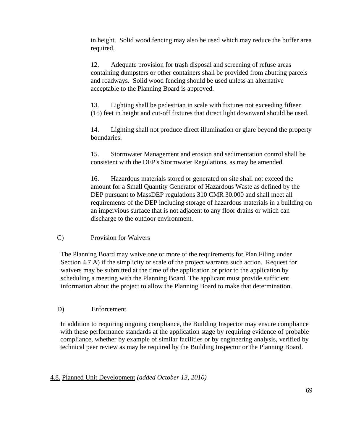in height. Solid wood fencing may also be used which may reduce the buffer area required.

12. Adequate provision for trash disposal and screening of refuse areas containing dumpsters or other containers shall be provided from abutting parcels and roadways. Solid wood fencing should be used unless an alternative acceptable to the Planning Board is approved.

13. Lighting shall be pedestrian in scale with fixtures not exceeding fifteen (15) feet in height and cut-off fixtures that direct light downward should be used.

14. Lighting shall not produce direct illumination or glare beyond the property boundaries.

15. Stormwater Management and erosion and sedimentation control shall be consistent with the DEP's Stormwater Regulations, as may be amended.

16. Hazardous materials stored or generated on site shall not exceed the amount for a Small Quantity Generator of Hazardous Waste as defined by the DEP pursuant to MassDEP regulations 310 CMR 30.000 and shall meet all requirements of the DEP including storage of hazardous materials in a building on an impervious surface that is not adjacent to any floor drains or which can discharge to the outdoor environment.

C) Provision for Waivers

The Planning Board may waive one or more of the requirements for Plan Filing under Section 4.7 A) if the simplicity or scale of the project warrants such action. Request for waivers may be submitted at the time of the application or prior to the application by scheduling a meeting with the Planning Board. The applicant must provide sufficient information about the project to allow the Planning Board to make that determination.

# D) Enforcement

In addition to requiring ongoing compliance, the Building Inspector may ensure compliance with these performance standards at the application stage by requiring evidence of probable compliance, whether by example of similar facilities or by engineering analysis, verified by technical peer review as may be required by the Building Inspector or the Planning Board.

## 4.8. Planned Unit Development *(added October 13, 2010)*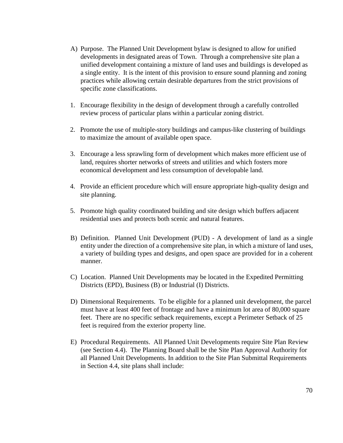- A) Purpose. The Planned Unit Development bylaw is designed to allow for unified developments in designated areas of Town. Through a comprehensive site plan a unified development containing a mixture of land uses and buildings is developed as a single entity. It is the intent of this provision to ensure sound planning and zoning practices while allowing certain desirable departures from the strict provisions of specific zone classifications.
- 1. Encourage flexibility in the design of development through a carefully controlled review process of particular plans within a particular zoning district.
- 2. Promote the use of multiple-story buildings and campus-like clustering of buildings to maximize the amount of available open space.
- 3. Encourage a less sprawling form of development which makes more efficient use of land, requires shorter networks of streets and utilities and which fosters more economical development and less consumption of developable land.
- 4. Provide an efficient procedure which will ensure appropriate high-quality design and site planning.
- 5. Promote high quality coordinated building and site design which buffers adjacent residential uses and protects both scenic and natural features.
- B) Definition. Planned Unit Development (PUD) A development of land as a single entity under the direction of a comprehensive site plan, in which a mixture of land uses, a variety of building types and designs, and open space are provided for in a coherent manner.
- C) Location. Planned Unit Developments may be located in the Expedited Permitting Districts (EPD), Business (B) or Industrial (I) Districts.
- D) Dimensional Requirements. To be eligible for a planned unit development, the parcel must have at least 400 feet of frontage and have a minimum lot area of 80,000 square feet. There are no specific setback requirements, except a Perimeter Setback of 25 feet is required from the exterior property line.
- E) Procedural Requirements. All Planned Unit Developments require Site Plan Review (see Section 4.4). The Planning Board shall be the Site Plan Approval Authority for all Planned Unit Developments. In addition to the Site Plan Submittal Requirements in Section 4.4, site plans shall include: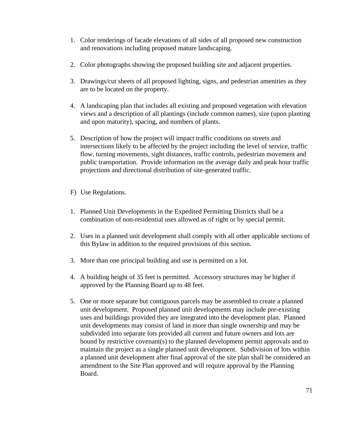- 1. Color renderings of facade elevations of all sides of all proposed new construction and renovations including proposed mature landscaping.
- 2. Color photographs showing the proposed building site and adjacent properties.
- 3. Drawings/cut sheets of all proposed lighting, signs, and pedestrian amenities as they are to be located on the property.
- 4. A landscaping plan that includes all existing and proposed vegetation with elevation views and a description of all plantings (include common names), size (upon planting and upon maturity), spacing, and numbers of plants.
- 5. Description of how the project will impact traffic conditions on streets and intersections likely to be affected by the project including the level of service, traffic flow, turning movements, sight distances, traffic controls, pedestrian movement and public transportation. Provide information on the average daily and peak hour traffic projections and directional distribution of site-generated traffic.
- F) Use Regulations.
- 1. Planned Unit Developments in the Expedited Permitting Districts shall be a combination of non-residential uses allowed as of right or by special permit.
- 2. Uses in a planned unit development shall comply with all other applicable sections of this Bylaw in addition to the required provisions of this section.
- 3. More than one principal building and use is permitted on a lot.
- 4. A building height of 35 feet is permitted. Accessory structures may be higher if approved by the Planning Board up to 48 feet.
- 5. One or more separate but contiguous parcels may be assembled to create a planned unit development. Proposed planned unit developments may include pre-existing uses and buildings provided they are integrated into the development plan. Planned unit developments may consist of land in more than single ownership and may be subdivided into separate lots provided all current and future owners and lots are bound by restrictive covenant(s) to the planned development permit approvals and to maintain the project as a single planned unit development. Subdivision of lots within a planned unit development after final approval of the site plan shall be considered an amendment to the Site Plan approved and will require approval by the Planning Board.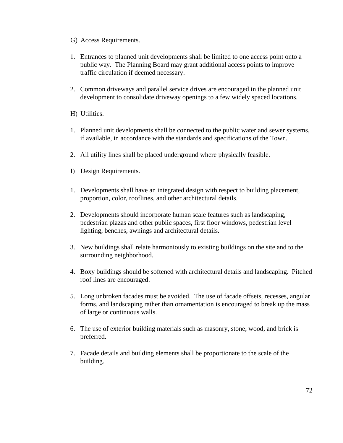- G) Access Requirements.
- 1. Entrances to planned unit developments shall be limited to one access point onto a public way. The Planning Board may grant additional access points to improve traffic circulation if deemed necessary.
- 2. Common driveways and parallel service drives are encouraged in the planned unit development to consolidate driveway openings to a few widely spaced locations.
- H) Utilities.
- 1. Planned unit developments shall be connected to the public water and sewer systems, if available, in accordance with the standards and specifications of the Town.
- 2. All utility lines shall be placed underground where physically feasible.
- I) Design Requirements.
- 1. Developments shall have an integrated design with respect to building placement, proportion, color, rooflines, and other architectural details.
- 2. Developments should incorporate human scale features such as landscaping, pedestrian plazas and other public spaces, first floor windows, pedestrian level lighting, benches, awnings and architectural details.
- 3. New buildings shall relate harmoniously to existing buildings on the site and to the surrounding neighborhood.
- 4. Boxy buildings should be softened with architectural details and landscaping. Pitched roof lines are encouraged.
- 5. Long unbroken facades must be avoided. The use of facade offsets, recesses, angular forms, and landscaping rather than ornamentation is encouraged to break up the mass of large or continuous walls.
- 6. The use of exterior building materials such as masonry, stone, wood, and brick is preferred.
- 7. Facade details and building elements shall be proportionate to the scale of the building.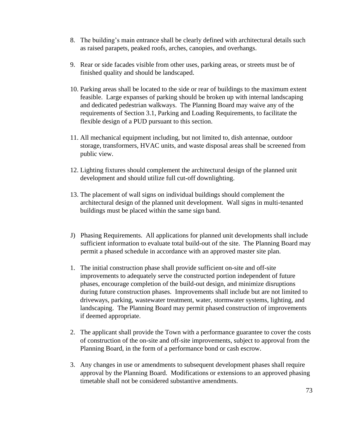- 8. The building's main entrance shall be clearly defined with architectural details such as raised parapets, peaked roofs, arches, canopies, and overhangs.
- 9. Rear or side facades visible from other uses, parking areas, or streets must be of finished quality and should be landscaped.
- 10. Parking areas shall be located to the side or rear of buildings to the maximum extent feasible. Large expanses of parking should be broken up with internal landscaping and dedicated pedestrian walkways. The Planning Board may waive any of the requirements of Section 3.1, Parking and Loading Requirements, to facilitate the flexible design of a PUD pursuant to this section.
- 11. All mechanical equipment including, but not limited to, dish antennae, outdoor storage, transformers, HVAC units, and waste disposal areas shall be screened from public view.
- 12. Lighting fixtures should complement the architectural design of the planned unit development and should utilize full cut-off downlighting.
- 13. The placement of wall signs on individual buildings should complement the architectural design of the planned unit development. Wall signs in multi-tenanted buildings must be placed within the same sign band.
- J) Phasing Requirements. All applications for planned unit developments shall include sufficient information to evaluate total build-out of the site. The Planning Board may permit a phased schedule in accordance with an approved master site plan.
- 1. The initial construction phase shall provide sufficient on-site and off-site improvements to adequately serve the constructed portion independent of future phases, encourage completion of the build-out design, and minimize disruptions during future construction phases. Improvements shall include but are not limited to driveways, parking, wastewater treatment, water, stormwater systems, lighting, and landscaping. The Planning Board may permit phased construction of improvements if deemed appropriate.
- 2. The applicant shall provide the Town with a performance guarantee to cover the costs of construction of the on-site and off-site improvements, subject to approval from the Planning Board, in the form of a performance bond or cash escrow.
- 3. Any changes in use or amendments to subsequent development phases shall require approval by the Planning Board. Modifications or extensions to an approved phasing timetable shall not be considered substantive amendments.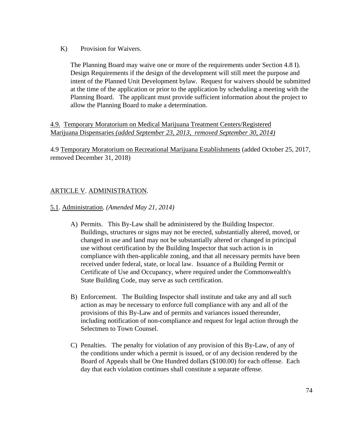K) Provision for Waivers.

The Planning Board may waive one or more of the requirements under Section 4.8 I). Design Requirements if the design of the development will still meet the purpose and intent of the Planned Unit Development bylaw. Request for waivers should be submitted at the time of the application or prior to the application by scheduling a meeting with the Planning Board. The applicant must provide sufficient information about the project to allow the Planning Board to make a determination.

4.9. Temporary Moratorium on Medical Marijuana Treatment Centers/Registered Marijuana Dispensaries *(added September 23, 2013, removed September 30, 2014)*

4.9 Temporary Moratorium on Recreational Marijuana Establishments (added October 25, 2017, removed December 31, 2018)

# ARTICLE V. ADMINISTRATION.

- 5.1. Administration. *(Amended May 21, 2014)*
	- A) Permits. This By-Law shall be administered by the Building Inspector. Buildings, structures or signs may not be erected, substantially altered, moved, or changed in use and land may not be substantially altered or changed in principal use without certification by the Building Inspector that such action is in compliance with then-applicable zoning, and that all necessary permits have been received under federal, state, or local law. Issuance of a Building Permit or Certificate of Use and Occupancy, where required under the Commonwealth's State Building Code, may serve as such certification.
	- B) Enforcement. The Building Inspector shall institute and take any and all such action as may be necessary to enforce full compliance with any and all of the provisions of this By-Law and of permits and variances issued thereunder, including notification of non-compliance and request for legal action through the Selectmen to Town Counsel.
	- C) Penalties. The penalty for violation of any provision of this By-Law, of any of the conditions under which a permit is issued, or of any decision rendered by the Board of Appeals shall be One Hundred dollars (\$100.00) for each offense. Each day that each violation continues shall constitute a separate offense.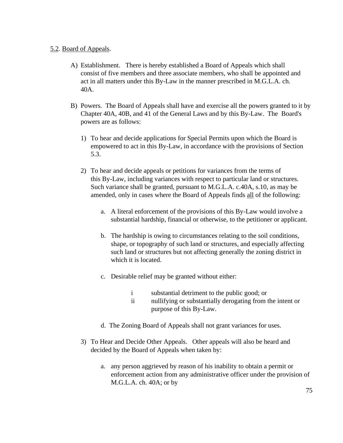#### 5.2. Board of Appeals.

- A) Establishment. There is hereby established a Board of Appeals which shall consist of five members and three associate members, who shall be appointed and act in all matters under this By-Law in the manner prescribed in M.G.L.A. ch. 40A.
- B) Powers. The Board of Appeals shall have and exercise all the powers granted to it by Chapter 40A, 40B, and 41 of the General Laws and by this By-Law. The Board's powers are as follows:
	- 1) To hear and decide applications for Special Permits upon which the Board is empowered to act in this By-Law, in accordance with the provisions of Section 5.3.
	- 2) To hear and decide appeals or petitions for variances from the terms of this By-Law, including variances with respect to particular land or structures. Such variance shall be granted, pursuant to M.G.L.A. c.40A, s.10, as may be amended, only in cases where the Board of Appeals finds all of the following:
		- a. A literal enforcement of the provisions of this By-Law would involve a substantial hardship, financial or otherwise, to the petitioner or applicant.
		- b. The hardship is owing to circumstances relating to the soil conditions, shape, or topography of such land or structures, and especially affecting such land or structures but not affecting generally the zoning district in which it is located.
		- c. Desirable relief may be granted without either:
			- i substantial detriment to the public good; or
			- ii nullifying or substantially derogating from the intent or purpose of this By-Law.
		- d. The Zoning Board of Appeals shall not grant variances for uses.
	- 3) To Hear and Decide Other Appeals. Other appeals will also be heard and decided by the Board of Appeals when taken by:
		- a. any person aggrieved by reason of his inability to obtain a permit or enforcement action from any administrative officer under the provision of M.G.L.A. ch. 40A; or by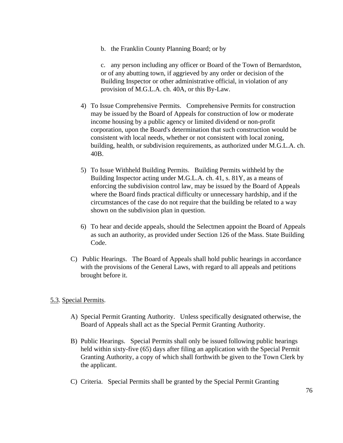b. the Franklin County Planning Board; or by

c. any person including any officer or Board of the Town of Bernardston, or of any abutting town, if aggrieved by any order or decision of the Building Inspector or other administrative official, in violation of any provision of M.G.L.A. ch. 40A, or this By-Law.

- 4) To Issue Comprehensive Permits. Comprehensive Permits for construction may be issued by the Board of Appeals for construction of low or moderate income housing by a public agency or limited dividend or non-profit corporation, upon the Board's determination that such construction would be consistent with local needs, whether or not consistent with local zoning, building, health, or subdivision requirements, as authorized under M.G.L.A. ch. 40B.
- 5) To Issue Withheld Building Permits. Building Permits withheld by the Building Inspector acting under M.G.L.A. ch. 41, s. 81Y, as a means of enforcing the subdivision control law, may be issued by the Board of Appeals where the Board finds practical difficulty or unnecessary hardship, and if the circumstances of the case do not require that the building be related to a way shown on the subdivision plan in question.
- 6) To hear and decide appeals, should the Selectmen appoint the Board of Appeals as such an authority, as provided under Section 126 of the Mass. State Building Code.
- C) Public Hearings. The Board of Appeals shall hold public hearings in accordance with the provisions of the General Laws, with regard to all appeals and petitions brought before it.

## 5.3. Special Permits.

- A) Special Permit Granting Authority. Unless specifically designated otherwise, the Board of Appeals shall act as the Special Permit Granting Authority.
- B) Public Hearings. Special Permits shall only be issued following public hearings held within sixty-five (65) days after filing an application with the Special Permit Granting Authority, a copy of which shall forthwith be given to the Town Clerk by the applicant.
- C) Criteria. Special Permits shall be granted by the Special Permit Granting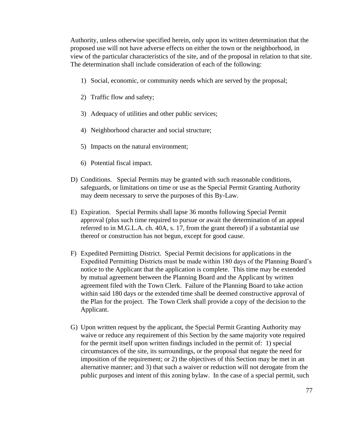Authority, unless otherwise specified herein, only upon its written determination that the proposed use will not have adverse effects on either the town or the neighborhood, in view of the particular characteristics of the site, and of the proposal in relation to that site. The determination shall include consideration of each of the following:

- 1) Social, economic, or community needs which are served by the proposal;
- 2) Traffic flow and safety;
- 3) Adequacy of utilities and other public services;
- 4) Neighborhood character and social structure;
- 5) Impacts on the natural environment;
- 6) Potential fiscal impact.
- D) Conditions. Special Permits may be granted with such reasonable conditions, safeguards, or limitations on time or use as the Special Permit Granting Authority may deem necessary to serve the purposes of this By-Law.
- E) Expiration. Special Permits shall lapse 36 months following Special Permit approval (plus such time required to pursue or await the determination of an appeal referred to in M.G.L.A. ch. 40A, s. 17, from the grant thereof) if a substantial use thereof or construction has not begun, except for good cause.
- F) Expedited Permitting District. Special Permit decisions for applications in the Expedited Permitting Districts must be made within 180 days of the Planning Board's notice to the Applicant that the application is complete. This time may be extended by mutual agreement between the Planning Board and the Applicant by written agreement filed with the Town Clerk. Failure of the Planning Board to take action within said 180 days or the extended time shall be deemed constructive approval of the Plan for the project. The Town Clerk shall provide a copy of the decision to the Applicant.
- G) Upon written request by the applicant, the Special Permit Granting Authority may waive or reduce any requirement of this Section by the same majority vote required for the permit itself upon written findings included in the permit of: 1) special circumstances of the site, its surroundings, or the proposal that negate the need for imposition of the requirement; or 2) the objectives of this Section may be met in an alternative manner; and 3) that such a waiver or reduction will not derogate from the public purposes and intent of this zoning bylaw. In the case of a special permit, such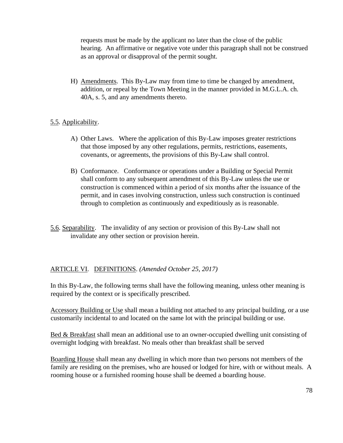requests must be made by the applicant no later than the close of the public hearing. An affirmative or negative vote under this paragraph shall not be construed as an approval or disapproval of the permit sought.

H) Amendments. This By-Law may from time to time be changed by amendment, addition, or repeal by the Town Meeting in the manner provided in M.G.L.A. ch. 40A, s. 5, and any amendments thereto.

# 5.5. Applicability.

- A) Other Laws. Where the application of this By-Law imposes greater restrictions that those imposed by any other regulations, permits, restrictions, easements, covenants, or agreements, the provisions of this By-Law shall control.
- B) Conformance. Conformance or operations under a Building or Special Permit shall conform to any subsequent amendment of this By-Law unless the use or construction is commenced within a period of six months after the issuance of the permit, and in cases involving construction, unless such construction is continued through to completion as continuously and expeditiously as is reasonable.
- 5.6. Separability. The invalidity of any section or provision of this By-Law shall not invalidate any other section or provision herein.

## ARTICLE VI. DEFINITIONS. *(Amended October 25, 2017)*

In this By-Law, the following terms shall have the following meaning, unless other meaning is required by the context or is specifically prescribed.

Accessory Building or Use shall mean a building not attached to any principal building, or a use customarily incidental to and located on the same lot with the principal building or use.

Bed & Breakfast shall mean an additional use to an owner-occupied dwelling unit consisting of overnight lodging with breakfast. No meals other than breakfast shall be served

Boarding House shall mean any dwelling in which more than two persons not members of the family are residing on the premises, who are housed or lodged for hire, with or without meals. A rooming house or a furnished rooming house shall be deemed a boarding house.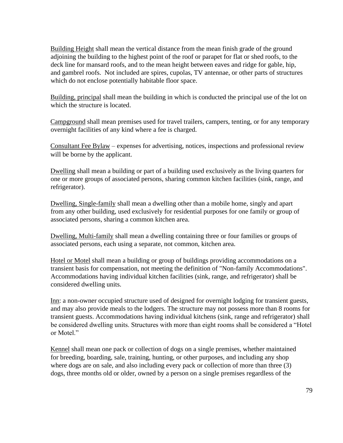Building Height shall mean the vertical distance from the mean finish grade of the ground adjoining the building to the highest point of the roof or parapet for flat or shed roofs, to the deck line for mansard roofs, and to the mean height between eaves and ridge for gable, hip, and gambrel roofs. Not included are spires, cupolas, TV antennae, or other parts of structures which do not enclose potentially habitable floor space.

Building, principal shall mean the building in which is conducted the principal use of the lot on which the structure is located.

Campground shall mean premises used for travel trailers, campers, tenting, or for any temporary overnight facilities of any kind where a fee is charged.

Consultant Fee Bylaw – expenses for advertising, notices, inspections and professional review will be borne by the applicant.

Dwelling shall mean a building or part of a building used exclusively as the living quarters for one or more groups of associated persons, sharing common kitchen facilities (sink, range, and refrigerator).

Dwelling, Single-family shall mean a dwelling other than a mobile home, singly and apart from any other building, used exclusively for residential purposes for one family or group of associated persons, sharing a common kitchen area.

Dwelling, Multi-family shall mean a dwelling containing three or four families or groups of associated persons, each using a separate, not common, kitchen area.

Hotel or Motel shall mean a building or group of buildings providing accommodations on a transient basis for compensation, not meeting the definition of "Non-family Accommodations". Accommodations having individual kitchen facilities (sink, range, and refrigerator) shall be considered dwelling units.

Inn: a non-owner occupied structure used of designed for overnight lodging for transient guests, and may also provide meals to the lodgers. The structure may not possess more than 8 rooms for transient guests. Accommodations having individual kitchens (sink, range and refrigerator) shall be considered dwelling units. Structures with more than eight rooms shall be considered a "Hotel or Motel."

Kennel shall mean one pack or collection of dogs on a single premises, whether maintained for breeding, boarding, sale, training, hunting, or other purposes, and including any shop where dogs are on sale, and also including every pack or collection of more than three (3) dogs, three months old or older, owned by a person on a single premises regardless of the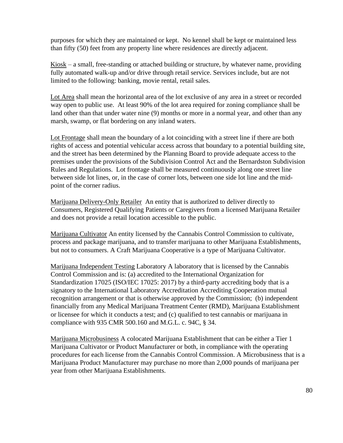purposes for which they are maintained or kept. No kennel shall be kept or maintained less than fifty (50) feet from any property line where residences are directly adjacent.

 $Kiosk - a small$ , free-standing or attached building or structure, by whatever name, providing fully automated walk-up and/or drive through retail service. Services include, but are not limited to the following: banking, movie rental, retail sales.

Lot Area shall mean the horizontal area of the lot exclusive of any area in a street or recorded way open to public use. At least 90% of the lot area required for zoning compliance shall be land other than that under water nine (9) months or more in a normal year, and other than any marsh, swamp, or flat bordering on any inland waters.

Lot Frontage shall mean the boundary of a lot coinciding with a street line if there are both rights of access and potential vehicular access across that boundary to a potential building site, and the street has been determined by the Planning Board to provide adequate access to the premises under the provisions of the Subdivision Control Act and the Bernardston Subdivision Rules and Regulations. Lot frontage shall be measured continuously along one street line between side lot lines, or, in the case of corner lots, between one side lot line and the midpoint of the corner radius.

Marijuana Delivery-Only Retailer An entity that is authorized to deliver directly to Consumers, Registered Qualifying Patients or Caregivers from a licensed Marijuana Retailer and does not provide a retail location accessible to the public.

Marijuana Cultivator An entity licensed by the Cannabis Control Commission to cultivate, process and package marijuana, and to transfer marijuana to other Marijuana Establishments, but not to consumers. A Craft Marijuana Cooperative is a type of Marijuana Cultivator.

Marijuana Independent Testing Laboratory A laboratory that is licensed by the Cannabis Control Commission and is: (a) accredited to the International Organization for Standardization 17025 (ISO/IEC 17025: 2017) by a third-party accrediting body that is a signatory to the International Laboratory Accreditation Accrediting Cooperation mutual recognition arrangement or that is otherwise approved by the Commission; (b) independent financially from any Medical Marijuana Treatment Center (RMD), Marijuana Establishment or licensee for which it conducts a test; and (c) qualified to test cannabis or marijuana in compliance with 935 CMR 500.160 and M.G.L. c. 94C, § 34.

Marijuana Microbusiness A colocated Marijuana Establishment that can be either a Tier 1 Marijuana Cultivator or Product Manufacturer or both, in compliance with the operating procedures for each license from the Cannabis Control Commission. A Microbusiness that is a Marijuana Product Manufacturer may purchase no more than 2,000 pounds of marijuana per year from other Marijuana Establishments.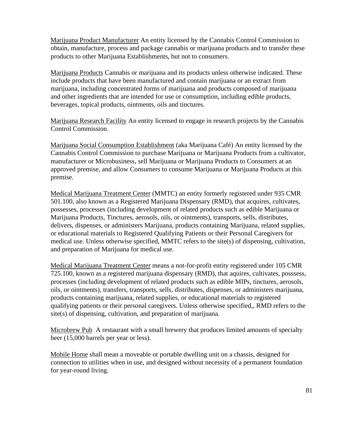Marijuana Product Manufacturer An entity licensed by the Cannabis Control Commission to obtain, manufacture, process and package cannabis or marijuana products and to transfer these products to other Marijuana Establishments, but not to consumers.

Marijuana Products Cannabis or marijuana and its products unless otherwise indicated. These include products that have been manufactured and contain marijuana or an extract from marijuana, including concentrated forms of marijuana and products composed of marijuana and other ingredients that are intended for use or consumption, including edible products, beverages, topical products, ointments, oils and tinctures.

Marijuana Research Facility An entity licensed to engage in research projects by the Cannabis Control Commission.

Marijuana Social Consumption Establishment (aka Marijuana Café) An entity licensed by the Cannabis Control Commission to purchase Marijuana or Marijuana Products from a cultivator, manufacturer or Microbusiness, sell Marijuana or Marijuana Products to Consumers at an approved premise, and allow Consumers to consume Marijuana or Marijuana Products at this premise.

Medical Marijuana Treatment Center (MMTC) an entity formerly registered under 935 CMR 501.100, also known as a Registered Marijuana Dispensary (RMD), that acquires, cultivates, possesses, processes (including development of related products such as edible Marijuana or Marijuana Products, Tinctures, aerosols, oils, or ointments), transports, sells, distributes, delivers, dispenses, or administers Marijuana, products containing Marijuana, related supplies, or educational materials to Registered Qualifying Patients or their Personal Caregivers for medical use. Unless otherwise specified, MMTC refers to the site(s) of dispensing, cultivation, and preparation of Marijuana for medical use.

Medical Marijuana Treatment Center means a not-for-profit entity registered under 105 CMR 725.100, known as a registered marijuana dispensary (RMD), that aquires, cultivates, posssess, processes (including development of related products such as edible MIPs, tinctures, aerosols, oils, or ointments), transfers, transports, sells, distributes, dispenses, or administers marijuana, products containing marijuana, related supplies, or educational materials to registered qualifying patients or their personal caregivers. Unless otherwise specified,, RMD refers to the site(s) of dispensing, cultivation, and preparation of marijuana.

Microbrew Pub A restaurant with a small brewery that produces limited amounts of specialty beer (15,000 barrels per year or less).

Mobile Home shall mean a moveable or portable dwelling unit on a chassis, designed for connection to utilities when in use, and designed without necessity of a permanent foundation for year-round living.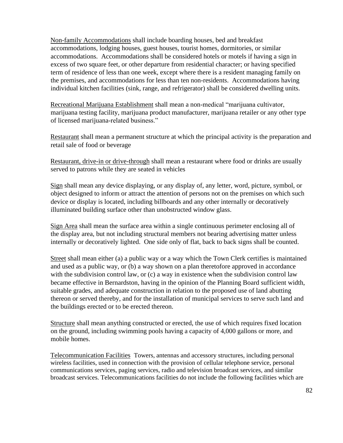Non-family Accommodations shall include boarding houses, bed and breakfast accommodations, lodging houses, guest houses, tourist homes, dormitories, or similar accommodations. Accommodations shall be considered hotels or motels if having a sign in excess of two square feet, or other departure from residential character; or having specified term of residence of less than one week, except where there is a resident managing family on the premises, and accommodations for less than ten non-residents. Accommodations having individual kitchen facilities (sink, range, and refrigerator) shall be considered dwelling units.

Recreational Marijuana Establishment shall mean a non-medical "marijuana cultivator, marijuana testing facility, marijuana product manufacturer, marijuana retailer or any other type of licensed marijuana-related business."

Restaurant shall mean a permanent structure at which the principal activity is the preparation and retail sale of food or beverage

Restaurant, drive-in or drive-through shall mean a restaurant where food or drinks are usually served to patrons while they are seated in vehicles

Sign shall mean any device displaying, or any display of, any letter, word, picture, symbol, or object designed to inform or attract the attention of persons not on the premises on which such device or display is located, including billboards and any other internally or decoratively illuminated building surface other than unobstructed window glass.

Sign Area shall mean the surface area within a single continuous perimeter enclosing all of the display area, but not including structural members not bearing advertising matter unless internally or decoratively lighted. One side only of flat, back to back signs shall be counted.

Street shall mean either (a) a public way or a way which the Town Clerk certifies is maintained and used as a public way, or (b) a way shown on a plan theretofore approved in accordance with the subdivision control law, or (c) a way in existence when the subdivision control law became effective in Bernardston, having in the opinion of the Planning Board sufficient width, suitable grades, and adequate construction in relation to the proposed use of land abutting thereon or served thereby, and for the installation of municipal services to serve such land and the buildings erected or to be erected thereon.

Structure shall mean anything constructed or erected, the use of which requires fixed location on the ground, including swimming pools having a capacity of 4,000 gallons or more, and mobile homes.

Telecommunication Facilities Towers, antennas and accessory structures, including personal wireless facilities, used in connection with the provision of cellular telephone service, personal communications services, paging services, radio and television broadcast services, and similar broadcast services. Telecommunications facilities do not include the following facilities which are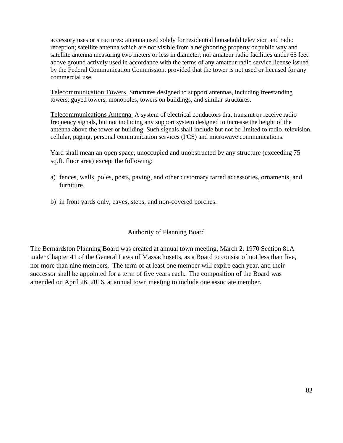accessory uses or structures: antenna used solely for residential household television and radio reception; satellite antenna which are not visible from a neighboring property or public way and satellite antenna measuring two meters or less in diameter; nor amateur radio facilities under 65 feet above ground actively used in accordance with the terms of any amateur radio service license issued by the Federal Communication Commission, provided that the tower is not used or licensed for any commercial use.

Telecommunication Towers Structures designed to support antennas, including freestanding towers, guyed towers, monopoles, towers on buildings, and similar structures.

Telecommunications Antenna A system of electrical conductors that transmit or receive radio frequency signals, but not including any support system designed to increase the height of the antenna above the tower or building. Such signals shall include but not be limited to radio, television, cellular, paging, personal communication services (PCS) and microwave communications.

Yard shall mean an open space, unoccupied and unobstructed by any structure (exceeding 75 sq.ft. floor area) except the following:

- a) fences, walls, poles, posts, paving, and other customary tarred accessories, ornaments, and furniture.
- b) in front yards only, eaves, steps, and non-covered porches.

#### Authority of Planning Board

The Bernardston Planning Board was created at annual town meeting, March 2, 1970 Section 81A under Chapter 41 of the General Laws of Massachusetts, as a Board to consist of not less than five, nor more than nine members. The term of at least one member will expire each year, and their successor shall be appointed for a term of five years each. The composition of the Board was amended on April 26, 2016, at annual town meeting to include one associate member.